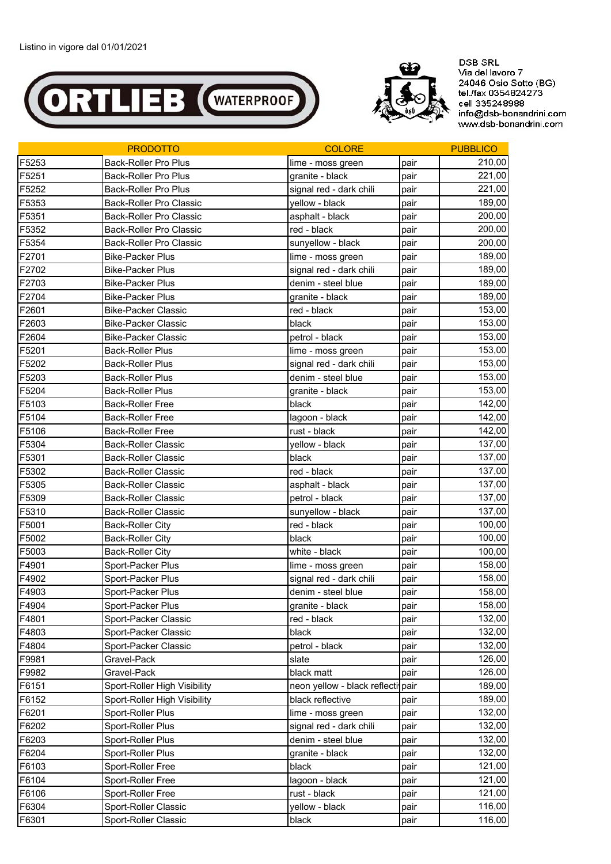



**DSB SRL** Via del lavoro 7 24046 Osio Sotto (BG)<br>tel./fax 0354824273<br>cell 335248988 info@dsb-bonandrini.com www.dsb-bonandrini.com

|       | <b>PRODOTTO</b>                | <b>COLORE</b>                     |      | <b>PUBBLICO</b> |
|-------|--------------------------------|-----------------------------------|------|-----------------|
| F5253 | Back-Roller Pro Plus           | lime - moss green                 | pair | 210,00          |
| F5251 | <b>Back-Roller Pro Plus</b>    | granite - black                   | pair | 221,00          |
| F5252 | <b>Back-Roller Pro Plus</b>    | signal red - dark chili           | pair | 221,00          |
| F5353 | Back-Roller Pro Classic        | yellow - black                    | pair | 189,00          |
| F5351 | <b>Back-Roller Pro Classic</b> | asphalt - black                   | pair | 200,00          |
| F5352 | Back-Roller Pro Classic        | red - black                       | pair | 200,00          |
| F5354 | <b>Back-Roller Pro Classic</b> | sunyellow - black                 | pair | 200,00          |
| F2701 | <b>Bike-Packer Plus</b>        | lime - moss green                 | pair | 189,00          |
| F2702 | <b>Bike-Packer Plus</b>        | signal red - dark chili           | pair | 189,00          |
| F2703 | <b>Bike-Packer Plus</b>        | denim - steel blue                | pair | 189,00          |
| F2704 | <b>Bike-Packer Plus</b>        | granite - black                   | pair | 189,00          |
| F2601 | <b>Bike-Packer Classic</b>     | red - black                       | pair | 153,00          |
| F2603 | <b>Bike-Packer Classic</b>     | black                             | pair | 153,00          |
| F2604 | <b>Bike-Packer Classic</b>     | petrol - black                    | pair | 153,00          |
| F5201 | <b>Back-Roller Plus</b>        | lime - moss green                 | pair | 153,00          |
| F5202 | <b>Back-Roller Plus</b>        | signal red - dark chili           | pair | 153,00          |
| F5203 | <b>Back-Roller Plus</b>        | denim - steel blue                | pair | 153,00          |
| F5204 | <b>Back-Roller Plus</b>        | granite - black                   | pair | 153,00          |
| F5103 | <b>Back-Roller Free</b>        | black                             | pair | 142,00          |
| F5104 | <b>Back-Roller Free</b>        | lagoon - black                    | pair | 142,00          |
| F5106 | <b>Back-Roller Free</b>        | rust - black                      | pair | 142,00          |
| F5304 | <b>Back-Roller Classic</b>     | yellow - black                    | pair | 137,00          |
| F5301 | <b>Back-Roller Classic</b>     | black                             | pair | 137,00          |
| F5302 | <b>Back-Roller Classic</b>     | red - black                       | pair | 137,00          |
| F5305 | <b>Back-Roller Classic</b>     | asphalt - black                   | pair | 137,00          |
| F5309 | <b>Back-Roller Classic</b>     | petrol - black                    | pair | 137,00          |
| F5310 | <b>Back-Roller Classic</b>     | sunyellow - black                 | pair | 137,00          |
| F5001 | <b>Back-Roller City</b>        | red - black                       | pair | 100,00          |
| F5002 | <b>Back-Roller City</b>        | black                             | pair | 100,00          |
| F5003 | <b>Back-Roller City</b>        | white - black                     | pair | 100,00          |
| F4901 | Sport-Packer Plus              | lime - moss green                 | pair | 158,00          |
| F4902 | Sport-Packer Plus              | signal red - dark chili           | pair | 158,00          |
| F4903 | Sport-Packer Plus              | denim - steel blue                | pair | 158,00          |
| F4904 | Sport-Packer Plus              | granite - black                   | pair | 158,00          |
| F4801 | Sport-Packer Classic           | red - black                       | pair | 132,00          |
| F4803 | Sport-Packer Classic           | black                             | pair | 132,00          |
| F4804 | Sport-Packer Classic           | petrol - black                    | pair | 132,00          |
| F9981 | Gravel-Pack                    | slate                             | pair | 126,00          |
| F9982 | Gravel-Pack                    | black matt                        | pair | 126,00          |
| F6151 | Sport-Roller High Visibility   | neon yellow - black reflecti pair |      | 189,00          |
| F6152 | Sport-Roller High Visibility   | black reflective                  | pair | 189,00          |
| F6201 | Sport-Roller Plus              | lime - moss green                 | pair | 132,00          |
| F6202 | Sport-Roller Plus              | signal red - dark chili           | pair | 132,00          |
| F6203 | Sport-Roller Plus              | denim - steel blue                | pair | 132,00          |
| F6204 | Sport-Roller Plus              | granite - black                   | pair | 132,00          |
| F6103 | Sport-Roller Free              | black                             | pair | 121,00          |
| F6104 | Sport-Roller Free              | lagoon - black                    | pair | 121,00          |
| F6106 | Sport-Roller Free              | rust - black                      | pair | 121,00          |
| F6304 | Sport-Roller Classic           | yellow - black                    | pair | 116,00          |
| F6301 | Sport-Roller Classic           | black                             | pair | 116,00          |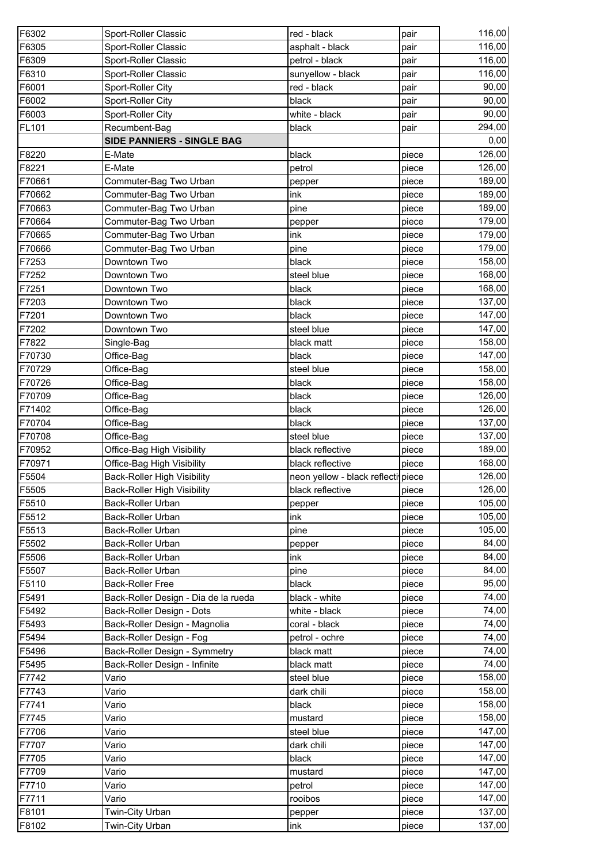| F6302          | Sport-Roller Classic                 | red - black                        | pair           | 116,00           |
|----------------|--------------------------------------|------------------------------------|----------------|------------------|
| F6305          | Sport-Roller Classic                 | asphalt - black                    | pair           | 116,00           |
| F6309          | Sport-Roller Classic                 | petrol - black                     | pair           | 116,00           |
| F6310          | Sport-Roller Classic                 | sunyellow - black                  | pair           | 116,00           |
| F6001          | Sport-Roller City                    | red - black                        | pair           | 90,00            |
| F6002          | Sport-Roller City                    | black                              | pair           | 90,00            |
| F6003          | Sport-Roller City                    | white - black                      | pair           | 90,00            |
| <b>FL101</b>   | Recumbent-Bag                        | black                              | pair           | 294,00           |
|                | SIDE PANNIERS - SINGLE BAG           |                                    |                | 0,00             |
| F8220          | E-Mate                               | black                              | piece          | 126,00           |
| F8221          | E-Mate                               | petrol                             | piece          | 126,00           |
| F70661         | Commuter-Bag Two Urban               | pepper                             | piece          | 189,00           |
| F70662         | Commuter-Bag Two Urban               | ink                                | piece          | 189,00           |
| F70663         | Commuter-Bag Two Urban               | pine                               | piece          | 189,00           |
| F70664         | Commuter-Bag Two Urban               | pepper                             | piece          | 179,00           |
| F70665         | Commuter-Bag Two Urban               | ink                                | piece          | 179,00           |
| F70666         | Commuter-Bag Two Urban               | pine                               | piece          | 179,00           |
| F7253          | Downtown Two                         | black                              | piece          | 158,00           |
| F7252          | Downtown Two                         | steel blue                         | piece          | 168,00           |
| F7251          | Downtown Two                         | black                              | piece          | 168,00           |
| F7203          | Downtown Two                         | black                              | piece          | 137,00           |
| F7201          | Downtown Two                         | black                              | piece          | 147,00           |
| F7202          | Downtown Two                         | steel blue                         | piece          | 147,00           |
| F7822          | Single-Bag                           | black matt                         | piece          | 158,00           |
| F70730         | Office-Bag                           | black                              | piece          | 147,00           |
| F70729         | Office-Bag                           | steel blue                         | piece          | 158,00           |
| F70726         | Office-Bag                           | black                              | piece          | 158,00           |
| F70709         | Office-Bag                           | black                              | piece          | 126,00           |
| F71402         | Office-Bag                           | black                              | piece          | 126,00           |
| F70704         | Office-Bag                           | black                              | piece          | 137,00           |
| F70708         | Office-Bag                           | steel blue                         | piece          | 137,00           |
| F70952         | Office-Bag High Visibility           | black reflective                   | piece          | 189,00           |
| F70971         | Office-Bag High Visibility           | black reflective                   | piece          | 168,00           |
| F5504          | <b>Back-Roller High Visibility</b>   | neon yellow - black reflecti piece |                | 126,00           |
| F5505          | <b>Back-Roller High Visibility</b>   | black reflective                   | piece          | 126,00           |
| F5510          | Back-Roller Urban                    | pepper                             | piece          | 105,00           |
| F5512          | Back-Roller Urban                    | ink                                | piece          | 105,00           |
| F5513          | Back-Roller Urban                    | pine                               | piece          | 105,00           |
| F5502          | Back-Roller Urban                    | pepper                             | piece          | 84,00            |
| F5506          | Back-Roller Urban                    | ink                                | piece          | 84,00            |
| F5507          | Back-Roller Urban                    | pine                               | piece          | 84,00            |
| F5110          | <b>Back-Roller Free</b>              | black                              | piece          | 95,00            |
| F5491          | Back-Roller Design - Dia de la rueda | black - white                      | piece          | 74,00            |
| F5492          | Back-Roller Design - Dots            | white - black                      | piece          | 74,00            |
| F5493          | Back-Roller Design - Magnolia        | coral - black                      | piece          | 74,00            |
| F5494          | Back-Roller Design - Fog             | petrol - ochre                     | piece          | 74,00            |
| F5496          | Back-Roller Design - Symmetry        | black matt                         | piece          | 74,00            |
| F5495          | Back-Roller Design - Infinite        | black matt                         | piece          | 74,00            |
| F7742          | Vario                                | steel blue                         | piece          | 158,00           |
| F7743          | Vario                                | dark chili                         | piece          | 158,00           |
| F7741          | Vario                                | black                              | piece          | 158,00           |
| F7745          | Vario                                | mustard                            | piece          | 158,00<br>147,00 |
| F7706          | Vario                                | steel blue                         | piece          | 147,00           |
| F7707<br>F7705 | Vario<br>Vario                       | dark chili<br>black                | piece<br>piece | 147,00           |
| F7709          | Vario                                | mustard                            | piece          | 147,00           |
| F7710          | Vario                                | petrol                             | piece          | 147,00           |
| F7711          | Vario                                | rooibos                            | piece          | 147,00           |
| F8101          | Twin-City Urban                      | pepper                             | piece          | 137,00           |
| F8102          | Twin-City Urban                      | ink                                | piece          | 137,00           |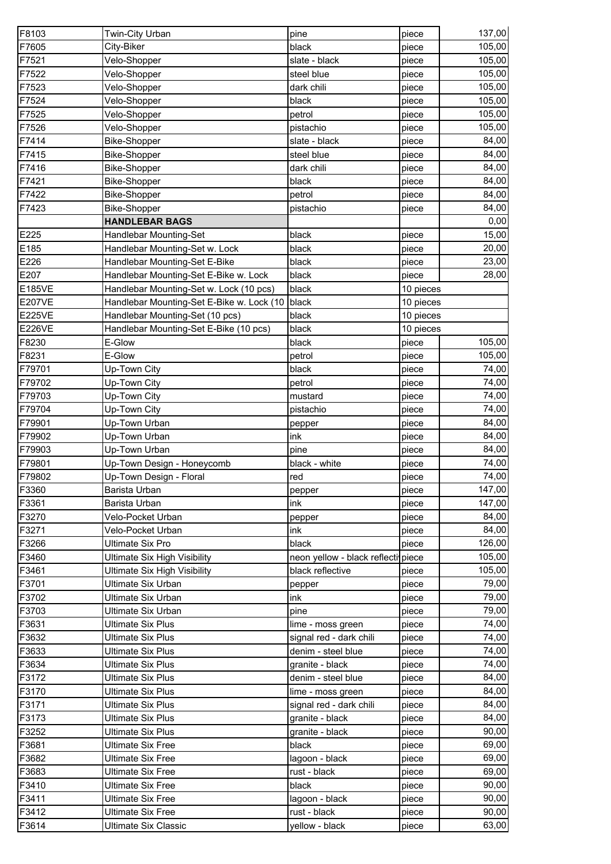| F8103         | Twin-City Urban                           | pine                                | piece     | 137,00 |
|---------------|-------------------------------------------|-------------------------------------|-----------|--------|
| F7605         | City-Biker                                | black                               | piece     | 105,00 |
| F7521         | Velo-Shopper                              | slate - black                       | piece     | 105,00 |
| F7522         | Velo-Shopper                              | steel blue                          | piece     | 105,00 |
| F7523         | Velo-Shopper                              | dark chili                          | piece     | 105,00 |
| F7524         | Velo-Shopper                              | black                               | piece     | 105,00 |
| F7525         | Velo-Shopper                              | petrol                              | piece     | 105,00 |
| F7526         | Velo-Shopper                              | pistachio                           | piece     | 105,00 |
| F7414         | <b>Bike-Shopper</b>                       | slate - black                       | piece     | 84,00  |
| F7415         | <b>Bike-Shopper</b>                       | steel blue                          | piece     | 84,00  |
| F7416         | <b>Bike-Shopper</b>                       | dark chili                          | piece     | 84,00  |
| F7421         | <b>Bike-Shopper</b>                       | black                               | piece     | 84,00  |
| F7422         | <b>Bike-Shopper</b>                       | petrol                              | piece     | 84,00  |
| F7423         | <b>Bike-Shopper</b>                       | pistachio                           | piece     | 84,00  |
|               | <b>HANDLEBAR BAGS</b>                     |                                     |           | 0,00   |
| E225          | Handlebar Mounting-Set                    | black                               | piece     | 15,00  |
| E185          | Handlebar Mounting-Set w. Lock            | black                               | piece     | 20,00  |
| E226          | Handlebar Mounting-Set E-Bike             | black                               | piece     | 23,00  |
| E207          | Handlebar Mounting-Set E-Bike w. Lock     | black                               | piece     | 28,00  |
| <b>E185VE</b> | Handlebar Mounting-Set w. Lock (10 pcs)   | black                               | 10 pieces |        |
| <b>E207VE</b> | Handlebar Mounting-Set E-Bike w. Lock (10 | black                               | 10 pieces |        |
| <b>E225VE</b> | Handlebar Mounting-Set (10 pcs)           | black                               | 10 pieces |        |
| <b>E226VE</b> | Handlebar Mounting-Set E-Bike (10 pcs)    | black                               | 10 pieces |        |
| F8230         | E-Glow                                    | black                               | piece     | 105,00 |
| F8231         | E-Glow                                    | petrol                              | piece     | 105,00 |
| F79701        | Up-Town City                              | black                               | piece     | 74,00  |
| F79702        | Up-Town City                              | petrol                              | piece     | 74,00  |
| F79703        | Up-Town City                              | mustard                             | piece     | 74,00  |
| F79704        | Up-Town City                              | pistachio                           | piece     | 74,00  |
| F79901        | Up-Town Urban                             | pepper                              | piece     | 84,00  |
| F79902        | Up-Town Urban                             | ink                                 | piece     | 84,00  |
| F79903        | Up-Town Urban                             | pine                                | piece     | 84,00  |
| F79801        | Up-Town Design - Honeycomb                | black - white                       | piece     | 74,00  |
| F79802        | Up-Town Design - Floral                   | red                                 | piece     | 74,00  |
| F3360         | Barista Urban                             | pepper                              | piece     | 147,00 |
| F3361         | Barista Urban                             | ink                                 | piece     | 147,00 |
| F3270         | Velo-Pocket Urban                         | pepper                              | piece     | 84,00  |
| F3271         | Velo-Pocket Urban                         | ink                                 | piece     | 84,00  |
| F3266         | Ultimate Six Pro                          | black                               | piece     | 126,00 |
| F3460         | Ultimate Six High Visibility              | neon yellow - black reflectiv piece |           | 105,00 |
| F3461         | <b>Ultimate Six High Visibility</b>       | black reflective                    | piece     | 105,00 |
| F3701         | Ultimate Six Urban                        | pepper                              | piece     | 79,00  |
| F3702         | Ultimate Six Urban                        | ink                                 | piece     | 79,00  |
| F3703         | Ultimate Six Urban                        | pine                                | piece     | 79,00  |
| F3631         | <b>Ultimate Six Plus</b>                  | lime - moss green                   | piece     | 74,00  |
| F3632         | <b>Ultimate Six Plus</b>                  | signal red - dark chili             | piece     | 74,00  |
| F3633         | <b>Ultimate Six Plus</b>                  | denim - steel blue                  | piece     | 74,00  |
| F3634         | <b>Ultimate Six Plus</b>                  | granite - black                     | piece     | 74,00  |
| F3172         | <b>Ultimate Six Plus</b>                  | denim - steel blue                  | piece     | 84,00  |
| F3170         | <b>Ultimate Six Plus</b>                  | lime - moss green                   | piece     | 84,00  |
| F3171         | <b>Ultimate Six Plus</b>                  | signal red - dark chili             | piece     | 84,00  |
| F3173         | <b>Ultimate Six Plus</b>                  | granite - black                     | piece     | 84,00  |
| F3252         | <b>Ultimate Six Plus</b>                  | granite - black                     | piece     | 90,00  |
| F3681         | <b>Ultimate Six Free</b>                  | black                               | piece     | 69,00  |
| F3682         | <b>Ultimate Six Free</b>                  | lagoon - black                      | piece     | 69,00  |
| F3683         | Ultimate Six Free                         | rust - black                        | piece     | 69,00  |
| F3410         | <b>Ultimate Six Free</b>                  | black                               | piece     | 90,00  |
| F3411         | <b>Ultimate Six Free</b>                  | lagoon - black                      | piece     | 90,00  |
| F3412         | <b>Ultimate Six Free</b>                  | rust - black                        | piece     | 90,00  |
| F3614         | <b>Ultimate Six Classic</b>               | yellow - black                      | piece     | 63,00  |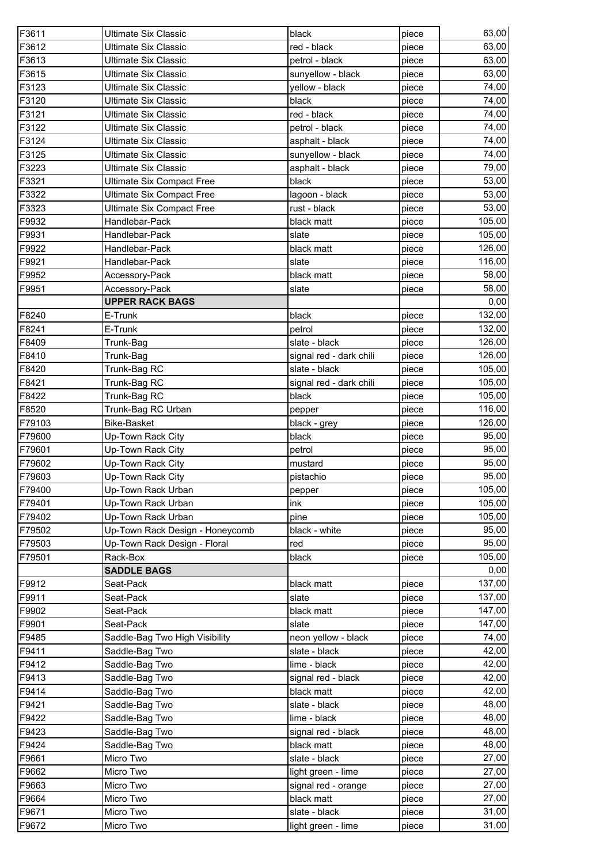| F3612<br><b>Ultimate Six Classic</b><br>red - black<br>63,00<br>piece<br>F3613<br>63,00<br><b>Ultimate Six Classic</b><br>petrol - black<br>piece<br>63,00<br>F3615<br><b>Ultimate Six Classic</b><br>sunyellow - black<br>piece<br>F3123<br>74,00<br><b>Ultimate Six Classic</b><br>yellow - black<br>piece<br>F3120<br><b>Ultimate Six Classic</b><br>black<br>74,00<br>piece<br>F3121<br>74,00<br><b>Ultimate Six Classic</b><br>red - black<br>piece<br>74,00<br>F3122<br><b>Ultimate Six Classic</b><br>petrol - black<br>piece<br>F3124<br><b>Ultimate Six Classic</b><br>74,00<br>asphalt - black<br>piece<br>F3125<br>74,00<br><b>Ultimate Six Classic</b><br>sunyellow - black<br>piece<br>F3223<br><b>Ultimate Six Classic</b><br>asphalt - black<br>79,00<br>piece<br>53,00<br>F3321<br><b>Ultimate Six Compact Free</b><br>black<br>piece<br>F3322<br>lagoon - black<br>53,00<br><b>Ultimate Six Compact Free</b><br>piece<br>F3323<br>53,00<br><b>Ultimate Six Compact Free</b><br>rust - black<br>piece<br>F9932<br>105,00<br>Handlebar-Pack<br>black matt<br>piece<br>105,00<br>F9931<br>Handlebar-Pack<br>slate<br>piece<br>126,00<br>F9922<br>Handlebar-Pack<br>black matt<br>piece<br>116,00<br>F9921<br>Handlebar-Pack<br>slate<br>piece<br>F9952<br>black matt<br>58,00<br>Accessory-Pack<br>piece<br>58,00<br>F9951<br>slate<br>Accessory-Pack<br>piece<br><b>UPPER RACK BAGS</b><br>0,00<br>F8240<br>132,00<br>E-Trunk<br>black<br>piece<br>132,00<br>F8241<br>E-Trunk<br>petrol<br>piece<br>F8409<br>slate - black<br>126,00<br>Trunk-Bag<br>piece<br>126,00<br>F8410<br>Trunk-Bag<br>signal red - dark chili<br>piece<br>105,00<br>F8420<br>Trunk-Bag RC<br>slate - black<br>piece<br>105,00<br>F8421<br>Trunk-Bag RC<br>signal red - dark chili<br>piece<br>F8422<br>105,00<br>black<br>Trunk-Bag RC<br>piece<br>116,00<br>F8520<br>Trunk-Bag RC Urban<br>pepper<br>piece<br><b>Bike-Basket</b><br>126,00<br>black - grey<br>piece<br>95,00<br>black<br>Up-Town Rack City<br>piece<br>95,00<br>F79601<br>Up-Town Rack City<br>petrol<br>piece<br>F79602<br>Up-Town Rack City<br>95,00<br>mustard<br>piece<br>95,00<br>Up-Town Rack City<br>pistachio<br>piece<br>F79400<br>Up-Town Rack Urban<br>piece<br>pepper<br>105,00<br>F79401<br>Up-Town Rack Urban<br>ink<br>piece<br>105,00<br>F79402<br>Up-Town Rack Urban<br>pine<br>piece<br>Up-Town Rack Design - Honeycomb<br>black - white<br>95,00<br>F79502<br>piece<br>F79503<br>Up-Town Rack Design - Floral<br>95,00<br>red<br>piece<br>105,00<br>F79501<br>Rack-Box<br>black<br>piece<br><b>SADDLE BAGS</b><br>0,00<br>F9912<br>137,00<br>Seat-Pack<br>black matt<br>piece<br>F9911<br>137,00<br>Seat-Pack<br>slate<br>piece<br>147,00<br>F9902<br>Seat-Pack<br>black matt<br>piece<br>147,00<br>F9901<br>Seat-Pack<br>slate<br>piece<br>F9485<br>Saddle-Bag Two High Visibility<br>neon yellow - black<br>74,00<br>piece<br>F9411<br>Saddle-Bag Two<br>slate - black<br>42,00<br>piece<br>42,00<br>F9412<br>Saddle-Bag Two<br>lime - black<br>piece<br>F9413<br>42,00<br>Saddle-Bag Two<br>signal red - black<br>piece<br>F9414<br>Saddle-Bag Two<br>black matt<br>42,00<br>piece<br>48,00<br>F9421<br>Saddle-Bag Two<br>slate - black<br>piece<br>48,00<br>F9422<br>lime - black<br>Saddle-Bag Two<br>piece<br>48,00<br>F9423<br>Saddle-Bag Two<br>signal red - black<br>piece<br>48,00<br>F9424<br>Saddle-Bag Two<br>black matt<br>piece<br>Micro Two<br>27,00<br>F9661<br>slate - black<br>piece<br>F9662<br>Micro Two<br>27,00<br>light green - lime<br>piece<br>F9663<br>Micro Two<br>27,00<br>signal red - orange<br>piece<br>F9664<br>27,00<br>Micro Two<br>black matt<br>piece<br>31,00<br>F9671<br>Micro Two<br>slate - black<br>piece<br>F9672<br>31,00<br>Micro Two<br>light green - lime<br>piece | F3611  | <b>Ultimate Six Classic</b> | black | piece | 63,00 |
|----------------------------------------------------------------------------------------------------------------------------------------------------------------------------------------------------------------------------------------------------------------------------------------------------------------------------------------------------------------------------------------------------------------------------------------------------------------------------------------------------------------------------------------------------------------------------------------------------------------------------------------------------------------------------------------------------------------------------------------------------------------------------------------------------------------------------------------------------------------------------------------------------------------------------------------------------------------------------------------------------------------------------------------------------------------------------------------------------------------------------------------------------------------------------------------------------------------------------------------------------------------------------------------------------------------------------------------------------------------------------------------------------------------------------------------------------------------------------------------------------------------------------------------------------------------------------------------------------------------------------------------------------------------------------------------------------------------------------------------------------------------------------------------------------------------------------------------------------------------------------------------------------------------------------------------------------------------------------------------------------------------------------------------------------------------------------------------------------------------------------------------------------------------------------------------------------------------------------------------------------------------------------------------------------------------------------------------------------------------------------------------------------------------------------------------------------------------------------------------------------------------------------------------------------------------------------------------------------------------------------------------------------------------------------------------------------------------------------------------------------------------------------------------------------------------------------------------------------------------------------------------------------------------------------------------------------------------------------------------------------------------------------------------------------------------------------------------------------------------------------------------------------------------------------------------------------------------------------------------------------------------------------------------------------------------------------------------------------------------------------------------------------------------------------------------------------------------------------------------------------------------------------------------------------------------------------------------------------------------------------------------------------------------------------------------------------------------------------------------------------------------------------------------------|--------|-----------------------------|-------|-------|-------|
|                                                                                                                                                                                                                                                                                                                                                                                                                                                                                                                                                                                                                                                                                                                                                                                                                                                                                                                                                                                                                                                                                                                                                                                                                                                                                                                                                                                                                                                                                                                                                                                                                                                                                                                                                                                                                                                                                                                                                                                                                                                                                                                                                                                                                                                                                                                                                                                                                                                                                                                                                                                                                                                                                                                                                                                                                                                                                                                                                                                                                                                                                                                                                                                                                                                                                                                                                                                                                                                                                                                                                                                                                                                                                                                                                                                              |        |                             |       |       |       |
|                                                                                                                                                                                                                                                                                                                                                                                                                                                                                                                                                                                                                                                                                                                                                                                                                                                                                                                                                                                                                                                                                                                                                                                                                                                                                                                                                                                                                                                                                                                                                                                                                                                                                                                                                                                                                                                                                                                                                                                                                                                                                                                                                                                                                                                                                                                                                                                                                                                                                                                                                                                                                                                                                                                                                                                                                                                                                                                                                                                                                                                                                                                                                                                                                                                                                                                                                                                                                                                                                                                                                                                                                                                                                                                                                                                              |        |                             |       |       |       |
| 105,00                                                                                                                                                                                                                                                                                                                                                                                                                                                                                                                                                                                                                                                                                                                                                                                                                                                                                                                                                                                                                                                                                                                                                                                                                                                                                                                                                                                                                                                                                                                                                                                                                                                                                                                                                                                                                                                                                                                                                                                                                                                                                                                                                                                                                                                                                                                                                                                                                                                                                                                                                                                                                                                                                                                                                                                                                                                                                                                                                                                                                                                                                                                                                                                                                                                                                                                                                                                                                                                                                                                                                                                                                                                                                                                                                                                       |        |                             |       |       |       |
|                                                                                                                                                                                                                                                                                                                                                                                                                                                                                                                                                                                                                                                                                                                                                                                                                                                                                                                                                                                                                                                                                                                                                                                                                                                                                                                                                                                                                                                                                                                                                                                                                                                                                                                                                                                                                                                                                                                                                                                                                                                                                                                                                                                                                                                                                                                                                                                                                                                                                                                                                                                                                                                                                                                                                                                                                                                                                                                                                                                                                                                                                                                                                                                                                                                                                                                                                                                                                                                                                                                                                                                                                                                                                                                                                                                              |        |                             |       |       |       |
|                                                                                                                                                                                                                                                                                                                                                                                                                                                                                                                                                                                                                                                                                                                                                                                                                                                                                                                                                                                                                                                                                                                                                                                                                                                                                                                                                                                                                                                                                                                                                                                                                                                                                                                                                                                                                                                                                                                                                                                                                                                                                                                                                                                                                                                                                                                                                                                                                                                                                                                                                                                                                                                                                                                                                                                                                                                                                                                                                                                                                                                                                                                                                                                                                                                                                                                                                                                                                                                                                                                                                                                                                                                                                                                                                                                              |        |                             |       |       |       |
|                                                                                                                                                                                                                                                                                                                                                                                                                                                                                                                                                                                                                                                                                                                                                                                                                                                                                                                                                                                                                                                                                                                                                                                                                                                                                                                                                                                                                                                                                                                                                                                                                                                                                                                                                                                                                                                                                                                                                                                                                                                                                                                                                                                                                                                                                                                                                                                                                                                                                                                                                                                                                                                                                                                                                                                                                                                                                                                                                                                                                                                                                                                                                                                                                                                                                                                                                                                                                                                                                                                                                                                                                                                                                                                                                                                              |        |                             |       |       |       |
|                                                                                                                                                                                                                                                                                                                                                                                                                                                                                                                                                                                                                                                                                                                                                                                                                                                                                                                                                                                                                                                                                                                                                                                                                                                                                                                                                                                                                                                                                                                                                                                                                                                                                                                                                                                                                                                                                                                                                                                                                                                                                                                                                                                                                                                                                                                                                                                                                                                                                                                                                                                                                                                                                                                                                                                                                                                                                                                                                                                                                                                                                                                                                                                                                                                                                                                                                                                                                                                                                                                                                                                                                                                                                                                                                                                              |        |                             |       |       |       |
|                                                                                                                                                                                                                                                                                                                                                                                                                                                                                                                                                                                                                                                                                                                                                                                                                                                                                                                                                                                                                                                                                                                                                                                                                                                                                                                                                                                                                                                                                                                                                                                                                                                                                                                                                                                                                                                                                                                                                                                                                                                                                                                                                                                                                                                                                                                                                                                                                                                                                                                                                                                                                                                                                                                                                                                                                                                                                                                                                                                                                                                                                                                                                                                                                                                                                                                                                                                                                                                                                                                                                                                                                                                                                                                                                                                              |        |                             |       |       |       |
|                                                                                                                                                                                                                                                                                                                                                                                                                                                                                                                                                                                                                                                                                                                                                                                                                                                                                                                                                                                                                                                                                                                                                                                                                                                                                                                                                                                                                                                                                                                                                                                                                                                                                                                                                                                                                                                                                                                                                                                                                                                                                                                                                                                                                                                                                                                                                                                                                                                                                                                                                                                                                                                                                                                                                                                                                                                                                                                                                                                                                                                                                                                                                                                                                                                                                                                                                                                                                                                                                                                                                                                                                                                                                                                                                                                              |        |                             |       |       |       |
|                                                                                                                                                                                                                                                                                                                                                                                                                                                                                                                                                                                                                                                                                                                                                                                                                                                                                                                                                                                                                                                                                                                                                                                                                                                                                                                                                                                                                                                                                                                                                                                                                                                                                                                                                                                                                                                                                                                                                                                                                                                                                                                                                                                                                                                                                                                                                                                                                                                                                                                                                                                                                                                                                                                                                                                                                                                                                                                                                                                                                                                                                                                                                                                                                                                                                                                                                                                                                                                                                                                                                                                                                                                                                                                                                                                              |        |                             |       |       |       |
|                                                                                                                                                                                                                                                                                                                                                                                                                                                                                                                                                                                                                                                                                                                                                                                                                                                                                                                                                                                                                                                                                                                                                                                                                                                                                                                                                                                                                                                                                                                                                                                                                                                                                                                                                                                                                                                                                                                                                                                                                                                                                                                                                                                                                                                                                                                                                                                                                                                                                                                                                                                                                                                                                                                                                                                                                                                                                                                                                                                                                                                                                                                                                                                                                                                                                                                                                                                                                                                                                                                                                                                                                                                                                                                                                                                              |        |                             |       |       |       |
|                                                                                                                                                                                                                                                                                                                                                                                                                                                                                                                                                                                                                                                                                                                                                                                                                                                                                                                                                                                                                                                                                                                                                                                                                                                                                                                                                                                                                                                                                                                                                                                                                                                                                                                                                                                                                                                                                                                                                                                                                                                                                                                                                                                                                                                                                                                                                                                                                                                                                                                                                                                                                                                                                                                                                                                                                                                                                                                                                                                                                                                                                                                                                                                                                                                                                                                                                                                                                                                                                                                                                                                                                                                                                                                                                                                              |        |                             |       |       |       |
|                                                                                                                                                                                                                                                                                                                                                                                                                                                                                                                                                                                                                                                                                                                                                                                                                                                                                                                                                                                                                                                                                                                                                                                                                                                                                                                                                                                                                                                                                                                                                                                                                                                                                                                                                                                                                                                                                                                                                                                                                                                                                                                                                                                                                                                                                                                                                                                                                                                                                                                                                                                                                                                                                                                                                                                                                                                                                                                                                                                                                                                                                                                                                                                                                                                                                                                                                                                                                                                                                                                                                                                                                                                                                                                                                                                              |        |                             |       |       |       |
|                                                                                                                                                                                                                                                                                                                                                                                                                                                                                                                                                                                                                                                                                                                                                                                                                                                                                                                                                                                                                                                                                                                                                                                                                                                                                                                                                                                                                                                                                                                                                                                                                                                                                                                                                                                                                                                                                                                                                                                                                                                                                                                                                                                                                                                                                                                                                                                                                                                                                                                                                                                                                                                                                                                                                                                                                                                                                                                                                                                                                                                                                                                                                                                                                                                                                                                                                                                                                                                                                                                                                                                                                                                                                                                                                                                              |        |                             |       |       |       |
|                                                                                                                                                                                                                                                                                                                                                                                                                                                                                                                                                                                                                                                                                                                                                                                                                                                                                                                                                                                                                                                                                                                                                                                                                                                                                                                                                                                                                                                                                                                                                                                                                                                                                                                                                                                                                                                                                                                                                                                                                                                                                                                                                                                                                                                                                                                                                                                                                                                                                                                                                                                                                                                                                                                                                                                                                                                                                                                                                                                                                                                                                                                                                                                                                                                                                                                                                                                                                                                                                                                                                                                                                                                                                                                                                                                              |        |                             |       |       |       |
|                                                                                                                                                                                                                                                                                                                                                                                                                                                                                                                                                                                                                                                                                                                                                                                                                                                                                                                                                                                                                                                                                                                                                                                                                                                                                                                                                                                                                                                                                                                                                                                                                                                                                                                                                                                                                                                                                                                                                                                                                                                                                                                                                                                                                                                                                                                                                                                                                                                                                                                                                                                                                                                                                                                                                                                                                                                                                                                                                                                                                                                                                                                                                                                                                                                                                                                                                                                                                                                                                                                                                                                                                                                                                                                                                                                              |        |                             |       |       |       |
|                                                                                                                                                                                                                                                                                                                                                                                                                                                                                                                                                                                                                                                                                                                                                                                                                                                                                                                                                                                                                                                                                                                                                                                                                                                                                                                                                                                                                                                                                                                                                                                                                                                                                                                                                                                                                                                                                                                                                                                                                                                                                                                                                                                                                                                                                                                                                                                                                                                                                                                                                                                                                                                                                                                                                                                                                                                                                                                                                                                                                                                                                                                                                                                                                                                                                                                                                                                                                                                                                                                                                                                                                                                                                                                                                                                              |        |                             |       |       |       |
|                                                                                                                                                                                                                                                                                                                                                                                                                                                                                                                                                                                                                                                                                                                                                                                                                                                                                                                                                                                                                                                                                                                                                                                                                                                                                                                                                                                                                                                                                                                                                                                                                                                                                                                                                                                                                                                                                                                                                                                                                                                                                                                                                                                                                                                                                                                                                                                                                                                                                                                                                                                                                                                                                                                                                                                                                                                                                                                                                                                                                                                                                                                                                                                                                                                                                                                                                                                                                                                                                                                                                                                                                                                                                                                                                                                              |        |                             |       |       |       |
|                                                                                                                                                                                                                                                                                                                                                                                                                                                                                                                                                                                                                                                                                                                                                                                                                                                                                                                                                                                                                                                                                                                                                                                                                                                                                                                                                                                                                                                                                                                                                                                                                                                                                                                                                                                                                                                                                                                                                                                                                                                                                                                                                                                                                                                                                                                                                                                                                                                                                                                                                                                                                                                                                                                                                                                                                                                                                                                                                                                                                                                                                                                                                                                                                                                                                                                                                                                                                                                                                                                                                                                                                                                                                                                                                                                              |        |                             |       |       |       |
|                                                                                                                                                                                                                                                                                                                                                                                                                                                                                                                                                                                                                                                                                                                                                                                                                                                                                                                                                                                                                                                                                                                                                                                                                                                                                                                                                                                                                                                                                                                                                                                                                                                                                                                                                                                                                                                                                                                                                                                                                                                                                                                                                                                                                                                                                                                                                                                                                                                                                                                                                                                                                                                                                                                                                                                                                                                                                                                                                                                                                                                                                                                                                                                                                                                                                                                                                                                                                                                                                                                                                                                                                                                                                                                                                                                              |        |                             |       |       |       |
|                                                                                                                                                                                                                                                                                                                                                                                                                                                                                                                                                                                                                                                                                                                                                                                                                                                                                                                                                                                                                                                                                                                                                                                                                                                                                                                                                                                                                                                                                                                                                                                                                                                                                                                                                                                                                                                                                                                                                                                                                                                                                                                                                                                                                                                                                                                                                                                                                                                                                                                                                                                                                                                                                                                                                                                                                                                                                                                                                                                                                                                                                                                                                                                                                                                                                                                                                                                                                                                                                                                                                                                                                                                                                                                                                                                              |        |                             |       |       |       |
|                                                                                                                                                                                                                                                                                                                                                                                                                                                                                                                                                                                                                                                                                                                                                                                                                                                                                                                                                                                                                                                                                                                                                                                                                                                                                                                                                                                                                                                                                                                                                                                                                                                                                                                                                                                                                                                                                                                                                                                                                                                                                                                                                                                                                                                                                                                                                                                                                                                                                                                                                                                                                                                                                                                                                                                                                                                                                                                                                                                                                                                                                                                                                                                                                                                                                                                                                                                                                                                                                                                                                                                                                                                                                                                                                                                              |        |                             |       |       |       |
|                                                                                                                                                                                                                                                                                                                                                                                                                                                                                                                                                                                                                                                                                                                                                                                                                                                                                                                                                                                                                                                                                                                                                                                                                                                                                                                                                                                                                                                                                                                                                                                                                                                                                                                                                                                                                                                                                                                                                                                                                                                                                                                                                                                                                                                                                                                                                                                                                                                                                                                                                                                                                                                                                                                                                                                                                                                                                                                                                                                                                                                                                                                                                                                                                                                                                                                                                                                                                                                                                                                                                                                                                                                                                                                                                                                              |        |                             |       |       |       |
|                                                                                                                                                                                                                                                                                                                                                                                                                                                                                                                                                                                                                                                                                                                                                                                                                                                                                                                                                                                                                                                                                                                                                                                                                                                                                                                                                                                                                                                                                                                                                                                                                                                                                                                                                                                                                                                                                                                                                                                                                                                                                                                                                                                                                                                                                                                                                                                                                                                                                                                                                                                                                                                                                                                                                                                                                                                                                                                                                                                                                                                                                                                                                                                                                                                                                                                                                                                                                                                                                                                                                                                                                                                                                                                                                                                              |        |                             |       |       |       |
|                                                                                                                                                                                                                                                                                                                                                                                                                                                                                                                                                                                                                                                                                                                                                                                                                                                                                                                                                                                                                                                                                                                                                                                                                                                                                                                                                                                                                                                                                                                                                                                                                                                                                                                                                                                                                                                                                                                                                                                                                                                                                                                                                                                                                                                                                                                                                                                                                                                                                                                                                                                                                                                                                                                                                                                                                                                                                                                                                                                                                                                                                                                                                                                                                                                                                                                                                                                                                                                                                                                                                                                                                                                                                                                                                                                              |        |                             |       |       |       |
|                                                                                                                                                                                                                                                                                                                                                                                                                                                                                                                                                                                                                                                                                                                                                                                                                                                                                                                                                                                                                                                                                                                                                                                                                                                                                                                                                                                                                                                                                                                                                                                                                                                                                                                                                                                                                                                                                                                                                                                                                                                                                                                                                                                                                                                                                                                                                                                                                                                                                                                                                                                                                                                                                                                                                                                                                                                                                                                                                                                                                                                                                                                                                                                                                                                                                                                                                                                                                                                                                                                                                                                                                                                                                                                                                                                              |        |                             |       |       |       |
|                                                                                                                                                                                                                                                                                                                                                                                                                                                                                                                                                                                                                                                                                                                                                                                                                                                                                                                                                                                                                                                                                                                                                                                                                                                                                                                                                                                                                                                                                                                                                                                                                                                                                                                                                                                                                                                                                                                                                                                                                                                                                                                                                                                                                                                                                                                                                                                                                                                                                                                                                                                                                                                                                                                                                                                                                                                                                                                                                                                                                                                                                                                                                                                                                                                                                                                                                                                                                                                                                                                                                                                                                                                                                                                                                                                              |        |                             |       |       |       |
|                                                                                                                                                                                                                                                                                                                                                                                                                                                                                                                                                                                                                                                                                                                                                                                                                                                                                                                                                                                                                                                                                                                                                                                                                                                                                                                                                                                                                                                                                                                                                                                                                                                                                                                                                                                                                                                                                                                                                                                                                                                                                                                                                                                                                                                                                                                                                                                                                                                                                                                                                                                                                                                                                                                                                                                                                                                                                                                                                                                                                                                                                                                                                                                                                                                                                                                                                                                                                                                                                                                                                                                                                                                                                                                                                                                              |        |                             |       |       |       |
|                                                                                                                                                                                                                                                                                                                                                                                                                                                                                                                                                                                                                                                                                                                                                                                                                                                                                                                                                                                                                                                                                                                                                                                                                                                                                                                                                                                                                                                                                                                                                                                                                                                                                                                                                                                                                                                                                                                                                                                                                                                                                                                                                                                                                                                                                                                                                                                                                                                                                                                                                                                                                                                                                                                                                                                                                                                                                                                                                                                                                                                                                                                                                                                                                                                                                                                                                                                                                                                                                                                                                                                                                                                                                                                                                                                              |        |                             |       |       |       |
|                                                                                                                                                                                                                                                                                                                                                                                                                                                                                                                                                                                                                                                                                                                                                                                                                                                                                                                                                                                                                                                                                                                                                                                                                                                                                                                                                                                                                                                                                                                                                                                                                                                                                                                                                                                                                                                                                                                                                                                                                                                                                                                                                                                                                                                                                                                                                                                                                                                                                                                                                                                                                                                                                                                                                                                                                                                                                                                                                                                                                                                                                                                                                                                                                                                                                                                                                                                                                                                                                                                                                                                                                                                                                                                                                                                              | F79103 |                             |       |       |       |
|                                                                                                                                                                                                                                                                                                                                                                                                                                                                                                                                                                                                                                                                                                                                                                                                                                                                                                                                                                                                                                                                                                                                                                                                                                                                                                                                                                                                                                                                                                                                                                                                                                                                                                                                                                                                                                                                                                                                                                                                                                                                                                                                                                                                                                                                                                                                                                                                                                                                                                                                                                                                                                                                                                                                                                                                                                                                                                                                                                                                                                                                                                                                                                                                                                                                                                                                                                                                                                                                                                                                                                                                                                                                                                                                                                                              | F79600 |                             |       |       |       |
|                                                                                                                                                                                                                                                                                                                                                                                                                                                                                                                                                                                                                                                                                                                                                                                                                                                                                                                                                                                                                                                                                                                                                                                                                                                                                                                                                                                                                                                                                                                                                                                                                                                                                                                                                                                                                                                                                                                                                                                                                                                                                                                                                                                                                                                                                                                                                                                                                                                                                                                                                                                                                                                                                                                                                                                                                                                                                                                                                                                                                                                                                                                                                                                                                                                                                                                                                                                                                                                                                                                                                                                                                                                                                                                                                                                              |        |                             |       |       |       |
|                                                                                                                                                                                                                                                                                                                                                                                                                                                                                                                                                                                                                                                                                                                                                                                                                                                                                                                                                                                                                                                                                                                                                                                                                                                                                                                                                                                                                                                                                                                                                                                                                                                                                                                                                                                                                                                                                                                                                                                                                                                                                                                                                                                                                                                                                                                                                                                                                                                                                                                                                                                                                                                                                                                                                                                                                                                                                                                                                                                                                                                                                                                                                                                                                                                                                                                                                                                                                                                                                                                                                                                                                                                                                                                                                                                              |        |                             |       |       |       |
|                                                                                                                                                                                                                                                                                                                                                                                                                                                                                                                                                                                                                                                                                                                                                                                                                                                                                                                                                                                                                                                                                                                                                                                                                                                                                                                                                                                                                                                                                                                                                                                                                                                                                                                                                                                                                                                                                                                                                                                                                                                                                                                                                                                                                                                                                                                                                                                                                                                                                                                                                                                                                                                                                                                                                                                                                                                                                                                                                                                                                                                                                                                                                                                                                                                                                                                                                                                                                                                                                                                                                                                                                                                                                                                                                                                              | F79603 |                             |       |       |       |
|                                                                                                                                                                                                                                                                                                                                                                                                                                                                                                                                                                                                                                                                                                                                                                                                                                                                                                                                                                                                                                                                                                                                                                                                                                                                                                                                                                                                                                                                                                                                                                                                                                                                                                                                                                                                                                                                                                                                                                                                                                                                                                                                                                                                                                                                                                                                                                                                                                                                                                                                                                                                                                                                                                                                                                                                                                                                                                                                                                                                                                                                                                                                                                                                                                                                                                                                                                                                                                                                                                                                                                                                                                                                                                                                                                                              |        |                             |       |       |       |
|                                                                                                                                                                                                                                                                                                                                                                                                                                                                                                                                                                                                                                                                                                                                                                                                                                                                                                                                                                                                                                                                                                                                                                                                                                                                                                                                                                                                                                                                                                                                                                                                                                                                                                                                                                                                                                                                                                                                                                                                                                                                                                                                                                                                                                                                                                                                                                                                                                                                                                                                                                                                                                                                                                                                                                                                                                                                                                                                                                                                                                                                                                                                                                                                                                                                                                                                                                                                                                                                                                                                                                                                                                                                                                                                                                                              |        |                             |       |       |       |
|                                                                                                                                                                                                                                                                                                                                                                                                                                                                                                                                                                                                                                                                                                                                                                                                                                                                                                                                                                                                                                                                                                                                                                                                                                                                                                                                                                                                                                                                                                                                                                                                                                                                                                                                                                                                                                                                                                                                                                                                                                                                                                                                                                                                                                                                                                                                                                                                                                                                                                                                                                                                                                                                                                                                                                                                                                                                                                                                                                                                                                                                                                                                                                                                                                                                                                                                                                                                                                                                                                                                                                                                                                                                                                                                                                                              |        |                             |       |       |       |
|                                                                                                                                                                                                                                                                                                                                                                                                                                                                                                                                                                                                                                                                                                                                                                                                                                                                                                                                                                                                                                                                                                                                                                                                                                                                                                                                                                                                                                                                                                                                                                                                                                                                                                                                                                                                                                                                                                                                                                                                                                                                                                                                                                                                                                                                                                                                                                                                                                                                                                                                                                                                                                                                                                                                                                                                                                                                                                                                                                                                                                                                                                                                                                                                                                                                                                                                                                                                                                                                                                                                                                                                                                                                                                                                                                                              |        |                             |       |       |       |
|                                                                                                                                                                                                                                                                                                                                                                                                                                                                                                                                                                                                                                                                                                                                                                                                                                                                                                                                                                                                                                                                                                                                                                                                                                                                                                                                                                                                                                                                                                                                                                                                                                                                                                                                                                                                                                                                                                                                                                                                                                                                                                                                                                                                                                                                                                                                                                                                                                                                                                                                                                                                                                                                                                                                                                                                                                                                                                                                                                                                                                                                                                                                                                                                                                                                                                                                                                                                                                                                                                                                                                                                                                                                                                                                                                                              |        |                             |       |       |       |
|                                                                                                                                                                                                                                                                                                                                                                                                                                                                                                                                                                                                                                                                                                                                                                                                                                                                                                                                                                                                                                                                                                                                                                                                                                                                                                                                                                                                                                                                                                                                                                                                                                                                                                                                                                                                                                                                                                                                                                                                                                                                                                                                                                                                                                                                                                                                                                                                                                                                                                                                                                                                                                                                                                                                                                                                                                                                                                                                                                                                                                                                                                                                                                                                                                                                                                                                                                                                                                                                                                                                                                                                                                                                                                                                                                                              |        |                             |       |       |       |
|                                                                                                                                                                                                                                                                                                                                                                                                                                                                                                                                                                                                                                                                                                                                                                                                                                                                                                                                                                                                                                                                                                                                                                                                                                                                                                                                                                                                                                                                                                                                                                                                                                                                                                                                                                                                                                                                                                                                                                                                                                                                                                                                                                                                                                                                                                                                                                                                                                                                                                                                                                                                                                                                                                                                                                                                                                                                                                                                                                                                                                                                                                                                                                                                                                                                                                                                                                                                                                                                                                                                                                                                                                                                                                                                                                                              |        |                             |       |       |       |
|                                                                                                                                                                                                                                                                                                                                                                                                                                                                                                                                                                                                                                                                                                                                                                                                                                                                                                                                                                                                                                                                                                                                                                                                                                                                                                                                                                                                                                                                                                                                                                                                                                                                                                                                                                                                                                                                                                                                                                                                                                                                                                                                                                                                                                                                                                                                                                                                                                                                                                                                                                                                                                                                                                                                                                                                                                                                                                                                                                                                                                                                                                                                                                                                                                                                                                                                                                                                                                                                                                                                                                                                                                                                                                                                                                                              |        |                             |       |       |       |
|                                                                                                                                                                                                                                                                                                                                                                                                                                                                                                                                                                                                                                                                                                                                                                                                                                                                                                                                                                                                                                                                                                                                                                                                                                                                                                                                                                                                                                                                                                                                                                                                                                                                                                                                                                                                                                                                                                                                                                                                                                                                                                                                                                                                                                                                                                                                                                                                                                                                                                                                                                                                                                                                                                                                                                                                                                                                                                                                                                                                                                                                                                                                                                                                                                                                                                                                                                                                                                                                                                                                                                                                                                                                                                                                                                                              |        |                             |       |       |       |
|                                                                                                                                                                                                                                                                                                                                                                                                                                                                                                                                                                                                                                                                                                                                                                                                                                                                                                                                                                                                                                                                                                                                                                                                                                                                                                                                                                                                                                                                                                                                                                                                                                                                                                                                                                                                                                                                                                                                                                                                                                                                                                                                                                                                                                                                                                                                                                                                                                                                                                                                                                                                                                                                                                                                                                                                                                                                                                                                                                                                                                                                                                                                                                                                                                                                                                                                                                                                                                                                                                                                                                                                                                                                                                                                                                                              |        |                             |       |       |       |
|                                                                                                                                                                                                                                                                                                                                                                                                                                                                                                                                                                                                                                                                                                                                                                                                                                                                                                                                                                                                                                                                                                                                                                                                                                                                                                                                                                                                                                                                                                                                                                                                                                                                                                                                                                                                                                                                                                                                                                                                                                                                                                                                                                                                                                                                                                                                                                                                                                                                                                                                                                                                                                                                                                                                                                                                                                                                                                                                                                                                                                                                                                                                                                                                                                                                                                                                                                                                                                                                                                                                                                                                                                                                                                                                                                                              |        |                             |       |       |       |
|                                                                                                                                                                                                                                                                                                                                                                                                                                                                                                                                                                                                                                                                                                                                                                                                                                                                                                                                                                                                                                                                                                                                                                                                                                                                                                                                                                                                                                                                                                                                                                                                                                                                                                                                                                                                                                                                                                                                                                                                                                                                                                                                                                                                                                                                                                                                                                                                                                                                                                                                                                                                                                                                                                                                                                                                                                                                                                                                                                                                                                                                                                                                                                                                                                                                                                                                                                                                                                                                                                                                                                                                                                                                                                                                                                                              |        |                             |       |       |       |
|                                                                                                                                                                                                                                                                                                                                                                                                                                                                                                                                                                                                                                                                                                                                                                                                                                                                                                                                                                                                                                                                                                                                                                                                                                                                                                                                                                                                                                                                                                                                                                                                                                                                                                                                                                                                                                                                                                                                                                                                                                                                                                                                                                                                                                                                                                                                                                                                                                                                                                                                                                                                                                                                                                                                                                                                                                                                                                                                                                                                                                                                                                                                                                                                                                                                                                                                                                                                                                                                                                                                                                                                                                                                                                                                                                                              |        |                             |       |       |       |
|                                                                                                                                                                                                                                                                                                                                                                                                                                                                                                                                                                                                                                                                                                                                                                                                                                                                                                                                                                                                                                                                                                                                                                                                                                                                                                                                                                                                                                                                                                                                                                                                                                                                                                                                                                                                                                                                                                                                                                                                                                                                                                                                                                                                                                                                                                                                                                                                                                                                                                                                                                                                                                                                                                                                                                                                                                                                                                                                                                                                                                                                                                                                                                                                                                                                                                                                                                                                                                                                                                                                                                                                                                                                                                                                                                                              |        |                             |       |       |       |
|                                                                                                                                                                                                                                                                                                                                                                                                                                                                                                                                                                                                                                                                                                                                                                                                                                                                                                                                                                                                                                                                                                                                                                                                                                                                                                                                                                                                                                                                                                                                                                                                                                                                                                                                                                                                                                                                                                                                                                                                                                                                                                                                                                                                                                                                                                                                                                                                                                                                                                                                                                                                                                                                                                                                                                                                                                                                                                                                                                                                                                                                                                                                                                                                                                                                                                                                                                                                                                                                                                                                                                                                                                                                                                                                                                                              |        |                             |       |       |       |
|                                                                                                                                                                                                                                                                                                                                                                                                                                                                                                                                                                                                                                                                                                                                                                                                                                                                                                                                                                                                                                                                                                                                                                                                                                                                                                                                                                                                                                                                                                                                                                                                                                                                                                                                                                                                                                                                                                                                                                                                                                                                                                                                                                                                                                                                                                                                                                                                                                                                                                                                                                                                                                                                                                                                                                                                                                                                                                                                                                                                                                                                                                                                                                                                                                                                                                                                                                                                                                                                                                                                                                                                                                                                                                                                                                                              |        |                             |       |       |       |
|                                                                                                                                                                                                                                                                                                                                                                                                                                                                                                                                                                                                                                                                                                                                                                                                                                                                                                                                                                                                                                                                                                                                                                                                                                                                                                                                                                                                                                                                                                                                                                                                                                                                                                                                                                                                                                                                                                                                                                                                                                                                                                                                                                                                                                                                                                                                                                                                                                                                                                                                                                                                                                                                                                                                                                                                                                                                                                                                                                                                                                                                                                                                                                                                                                                                                                                                                                                                                                                                                                                                                                                                                                                                                                                                                                                              |        |                             |       |       |       |
|                                                                                                                                                                                                                                                                                                                                                                                                                                                                                                                                                                                                                                                                                                                                                                                                                                                                                                                                                                                                                                                                                                                                                                                                                                                                                                                                                                                                                                                                                                                                                                                                                                                                                                                                                                                                                                                                                                                                                                                                                                                                                                                                                                                                                                                                                                                                                                                                                                                                                                                                                                                                                                                                                                                                                                                                                                                                                                                                                                                                                                                                                                                                                                                                                                                                                                                                                                                                                                                                                                                                                                                                                                                                                                                                                                                              |        |                             |       |       |       |
|                                                                                                                                                                                                                                                                                                                                                                                                                                                                                                                                                                                                                                                                                                                                                                                                                                                                                                                                                                                                                                                                                                                                                                                                                                                                                                                                                                                                                                                                                                                                                                                                                                                                                                                                                                                                                                                                                                                                                                                                                                                                                                                                                                                                                                                                                                                                                                                                                                                                                                                                                                                                                                                                                                                                                                                                                                                                                                                                                                                                                                                                                                                                                                                                                                                                                                                                                                                                                                                                                                                                                                                                                                                                                                                                                                                              |        |                             |       |       |       |
|                                                                                                                                                                                                                                                                                                                                                                                                                                                                                                                                                                                                                                                                                                                                                                                                                                                                                                                                                                                                                                                                                                                                                                                                                                                                                                                                                                                                                                                                                                                                                                                                                                                                                                                                                                                                                                                                                                                                                                                                                                                                                                                                                                                                                                                                                                                                                                                                                                                                                                                                                                                                                                                                                                                                                                                                                                                                                                                                                                                                                                                                                                                                                                                                                                                                                                                                                                                                                                                                                                                                                                                                                                                                                                                                                                                              |        |                             |       |       |       |
|                                                                                                                                                                                                                                                                                                                                                                                                                                                                                                                                                                                                                                                                                                                                                                                                                                                                                                                                                                                                                                                                                                                                                                                                                                                                                                                                                                                                                                                                                                                                                                                                                                                                                                                                                                                                                                                                                                                                                                                                                                                                                                                                                                                                                                                                                                                                                                                                                                                                                                                                                                                                                                                                                                                                                                                                                                                                                                                                                                                                                                                                                                                                                                                                                                                                                                                                                                                                                                                                                                                                                                                                                                                                                                                                                                                              |        |                             |       |       |       |
|                                                                                                                                                                                                                                                                                                                                                                                                                                                                                                                                                                                                                                                                                                                                                                                                                                                                                                                                                                                                                                                                                                                                                                                                                                                                                                                                                                                                                                                                                                                                                                                                                                                                                                                                                                                                                                                                                                                                                                                                                                                                                                                                                                                                                                                                                                                                                                                                                                                                                                                                                                                                                                                                                                                                                                                                                                                                                                                                                                                                                                                                                                                                                                                                                                                                                                                                                                                                                                                                                                                                                                                                                                                                                                                                                                                              |        |                             |       |       |       |
|                                                                                                                                                                                                                                                                                                                                                                                                                                                                                                                                                                                                                                                                                                                                                                                                                                                                                                                                                                                                                                                                                                                                                                                                                                                                                                                                                                                                                                                                                                                                                                                                                                                                                                                                                                                                                                                                                                                                                                                                                                                                                                                                                                                                                                                                                                                                                                                                                                                                                                                                                                                                                                                                                                                                                                                                                                                                                                                                                                                                                                                                                                                                                                                                                                                                                                                                                                                                                                                                                                                                                                                                                                                                                                                                                                                              |        |                             |       |       |       |
|                                                                                                                                                                                                                                                                                                                                                                                                                                                                                                                                                                                                                                                                                                                                                                                                                                                                                                                                                                                                                                                                                                                                                                                                                                                                                                                                                                                                                                                                                                                                                                                                                                                                                                                                                                                                                                                                                                                                                                                                                                                                                                                                                                                                                                                                                                                                                                                                                                                                                                                                                                                                                                                                                                                                                                                                                                                                                                                                                                                                                                                                                                                                                                                                                                                                                                                                                                                                                                                                                                                                                                                                                                                                                                                                                                                              |        |                             |       |       |       |
|                                                                                                                                                                                                                                                                                                                                                                                                                                                                                                                                                                                                                                                                                                                                                                                                                                                                                                                                                                                                                                                                                                                                                                                                                                                                                                                                                                                                                                                                                                                                                                                                                                                                                                                                                                                                                                                                                                                                                                                                                                                                                                                                                                                                                                                                                                                                                                                                                                                                                                                                                                                                                                                                                                                                                                                                                                                                                                                                                                                                                                                                                                                                                                                                                                                                                                                                                                                                                                                                                                                                                                                                                                                                                                                                                                                              |        |                             |       |       |       |
|                                                                                                                                                                                                                                                                                                                                                                                                                                                                                                                                                                                                                                                                                                                                                                                                                                                                                                                                                                                                                                                                                                                                                                                                                                                                                                                                                                                                                                                                                                                                                                                                                                                                                                                                                                                                                                                                                                                                                                                                                                                                                                                                                                                                                                                                                                                                                                                                                                                                                                                                                                                                                                                                                                                                                                                                                                                                                                                                                                                                                                                                                                                                                                                                                                                                                                                                                                                                                                                                                                                                                                                                                                                                                                                                                                                              |        |                             |       |       |       |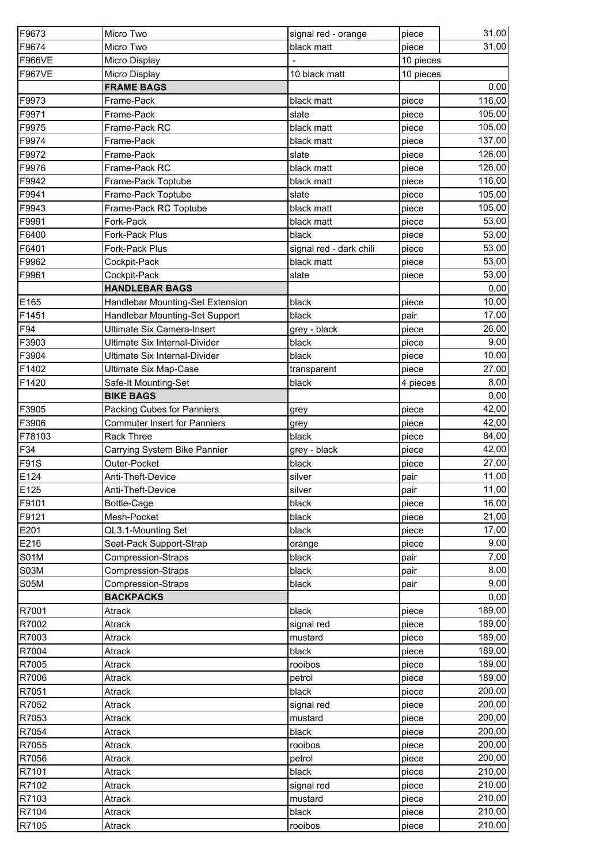| F9673         | Micro Two                           | signal red - orange     | piece     | 31,00  |
|---------------|-------------------------------------|-------------------------|-----------|--------|
| F9674         | Micro Two                           | black matt              | piece     | 31,00  |
| <b>F966VE</b> | Micro Display                       |                         | 10 pieces |        |
| <b>F967VE</b> | Micro Display                       | 10 black matt           | 10 pieces |        |
|               | <b>FRAME BAGS</b>                   |                         |           | 0,00   |
| F9973         | Frame-Pack                          | black matt              | piece     | 116,00 |
| F9971         | Frame-Pack                          | slate                   | piece     | 105,00 |
| F9975         | Frame-Pack RC                       | black matt              | piece     | 105,00 |
| F9974         | Frame-Pack                          | black matt              | piece     | 137,00 |
| F9972         | Frame-Pack                          | slate                   | piece     | 126,00 |
| F9976         | Frame-Pack RC                       | black matt              | piece     | 126,00 |
| F9942         | Frame-Pack Toptube                  | black matt              | piece     | 116,00 |
| F9941         | Frame-Pack Toptube                  | slate                   | piece     | 105,00 |
| F9943         | Frame-Pack RC Toptube               | black matt              | piece     | 105,00 |
| F9991         | Fork-Pack                           | black matt              | piece     | 53,00  |
| F6400         | Fork-Pack Plus                      | black                   | piece     | 53,00  |
| F6401         | Fork-Pack Plus                      | signal red - dark chili | piece     | 53,00  |
| F9962         | Cockpit-Pack                        | black matt              | piece     | 53,00  |
| F9961         | Cockpit-Pack                        | slate                   | piece     | 53,00  |
|               | <b>HANDLEBAR BAGS</b>               |                         |           | 0,00   |
| E165          | Handlebar Mounting-Set Extension    | black                   | piece     | 10,00  |
| F1451         | Handlebar Mounting-Set Support      | black                   | pair      | 17,00  |
| F94           | Ultimate Six Camera-Insert          | grey - black            | piece     | 26,00  |
| F3903         | Ultimate Six Internal-Divider       | black                   | piece     | 9,00   |
| F3904         | Ultimate Six Internal-Divider       | black                   | piece     | 10,00  |
| F1402         | <b>Ultimate Six Map-Case</b>        | transparent             | piece     | 27,00  |
| F1420         | Safe-It Mounting-Set                | black                   | 4 pieces  | 8,00   |
|               | <b>BIKE BAGS</b>                    |                         |           | 0,00   |
| F3905         | <b>Packing Cubes for Panniers</b>   | grey                    | piece     | 42,00  |
| F3906         | <b>Commuter Insert for Panniers</b> | grey                    | piece     | 42,00  |
| F78103        | <b>Rack Three</b>                   | black                   | piece     | 84,00  |
| F34           | Carrying System Bike Pannier        | grey - black            | piece     | 42,00  |
| <b>F91S</b>   | Outer-Pocket                        | black                   | piece     | 27,00  |
| E124          | Anti-Theft-Device                   | silver                  | pair      | 11,00  |
| E125          | Anti-Theft-Device                   | silver                  | pair      | 11,00  |
| F9101         | Bottle-Cage                         | black                   | piece     | 16,00  |
| F9121         | Mesh-Pocket                         | black                   | piece     | 21,00  |
| E201          | QL3.1-Mounting Set                  | black                   | piece     | 17,00  |
| E216          | Seat-Pack Support-Strap             | orange                  | piece     | 9,00   |
| <b>S01M</b>   | <b>Compression-Straps</b>           | black                   | pair      | 7,00   |
| <b>S03M</b>   | <b>Compression-Straps</b>           | black                   | pair      | 8,00   |
| <b>S05M</b>   | <b>Compression-Straps</b>           | black                   | pair      | 9,00   |
|               | <b>BACKPACKS</b>                    |                         |           | 0,00   |
| R7001         | Atrack                              | black                   | piece     | 189,00 |
| R7002         | Atrack                              | signal red              | piece     | 189,00 |
| R7003         | Atrack                              | mustard                 | piece     | 189,00 |
| R7004         | Atrack                              | black                   | piece     | 189,00 |
| R7005         | Atrack                              | rooibos                 | piece     | 189,00 |
| R7006         | Atrack                              | petrol                  | piece     | 189,00 |
| R7051         | Atrack                              | black                   | piece     | 200,00 |
| R7052         | Atrack                              | signal red              | piece     | 200,00 |
| R7053         | Atrack                              | mustard                 | piece     | 200,00 |
| R7054         | Atrack                              | black                   | piece     | 200,00 |
| R7055         | Atrack                              | rooibos                 | piece     | 200,00 |
| R7056         | Atrack                              | petrol                  | piece     | 200,00 |
| R7101         | Atrack                              | black                   | piece     | 210,00 |
| R7102         | Atrack                              | signal red              | piece     | 210,00 |
| R7103         | Atrack                              | mustard                 | piece     | 210,00 |
| R7104         | Atrack                              | black                   | piece     | 210,00 |
| R7105         | Atrack                              | rooibos                 | piece     | 210,00 |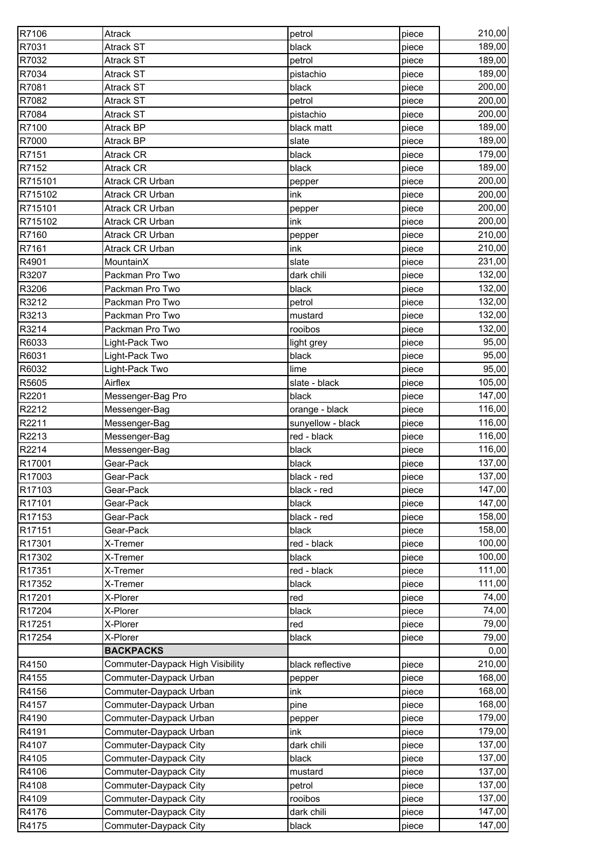| 189,00<br><b>Atrack ST</b><br>black<br>piece<br>189,00<br><b>Atrack ST</b><br>petrol<br>piece<br>189,00<br><b>Atrack ST</b><br>pistachio<br>piece<br>200,00<br><b>Atrack ST</b><br>black<br>piece<br>200,00<br><b>Atrack ST</b><br>petrol<br>piece<br>200,00<br><b>Atrack ST</b><br>pistachio<br>piece<br>189,00<br>Atrack BP<br>black matt<br>piece<br>189,00<br>slate<br>Atrack BP<br>piece<br>black<br>179,00<br>R7151<br>Atrack CR<br>piece<br>R7152<br>Atrack CR<br>189,00<br>black<br>piece<br>200,00<br>R715101<br>Atrack CR Urban<br>piece<br>pepper<br>R715102<br>200,00<br>Atrack CR Urban<br>ink<br>piece<br>200,00<br>R715101<br>Atrack CR Urban<br>piece<br>pepper<br>200,00<br>R715102<br><b>Atrack CR Urban</b><br>ink<br>piece<br>210,00<br>R7160<br>Atrack CR Urban<br>piece<br>pepper<br>210,00<br>R7161<br><b>Atrack CR Urban</b><br>ink<br>piece<br>231,00<br>R4901<br>MountainX<br>slate<br>piece<br>132,00<br>R3207<br>Packman Pro Two<br>dark chili<br>piece<br>R3206<br>132,00<br>Packman Pro Two<br>black<br>piece<br>132,00<br>R3212<br>Packman Pro Two<br>petrol<br>piece<br>132,00<br>R3213<br>Packman Pro Two<br>mustard<br>piece<br>R3214<br>Packman Pro Two<br>132,00<br>rooibos<br>piece<br>95,00<br>R6033<br>Light-Pack Two<br>light grey<br>piece<br>95,00<br>R6031<br>Light-Pack Two<br>black<br>piece<br>95,00<br>R6032<br>Light-Pack Two<br>lime<br>piece<br>105,00<br>Airflex<br>R5605<br>slate - black<br>piece<br>147,00<br>R2201<br>Messenger-Bag Pro<br>black<br>piece<br>116,00<br>R2212<br>Messenger-Bag<br>orange - black<br>piece<br>R2211<br>116,00<br>sunyellow - black<br>Messenger-Bag<br>piece<br>R2213<br>red - black<br>116,00<br>Messenger-Bag<br>piece<br>116,00<br>R2214<br>Messenger-Bag<br>black<br>piece<br>R17001<br>137,00<br>Gear-Pack<br>black<br>piece<br>137,00<br>R17003<br>Gear-Pack<br>black - red<br>piece<br>R17103<br>147,00<br>black - red<br>Gear-Pack<br>piece<br>147,00<br>R17101<br>black<br>Gear-Pack<br>piece<br>black - red<br>158,00<br>R17153<br>Gear-Pack<br>piece<br>158,00<br>R17151<br>Gear-Pack<br>black<br>piece<br>100,00<br>X-Tremer<br>red - black<br>piece<br>100,00<br>X-Tremer<br>black<br>piece<br>X-Tremer<br>red - black<br>111,00<br>piece<br>111,00<br>X-Tremer<br>black<br>piece<br>X-Plorer<br>74,00<br>red<br>piece<br>74,00<br>X-Plorer<br>black<br>piece<br>79,00<br>X-Plorer<br>red<br>piece<br>79,00<br>X-Plorer<br>black<br>piece<br>0,00<br><b>BACKPACKS</b><br>Commuter-Daypack High Visibility<br>210,00<br>black reflective<br>piece<br>Commuter-Daypack Urban<br>168,00<br>piece<br>pepper<br>168,00<br>Commuter-Daypack Urban<br>ink<br>piece<br>168,00<br>Commuter-Daypack Urban<br>pine<br>piece<br>179,00<br>Commuter-Daypack Urban<br>piece<br>pepper<br>179,00<br>Commuter-Daypack Urban<br>ink<br>piece<br>137,00<br>Commuter-Daypack City<br>dark chili<br>piece<br>137,00<br>Commuter-Daypack City<br>black<br>piece<br>137,00<br>Commuter-Daypack City<br>piece<br>mustard<br>137,00<br>R4108<br>Commuter-Daypack City<br>petrol<br>piece<br>R4109<br>137,00<br>Commuter-Daypack City<br>rooibos<br>piece<br>147,00<br>R4176<br>Commuter-Daypack City<br>dark chili<br>piece<br>147,00<br>Commuter-Daypack City<br>black<br>piece | R7106  | Atrack | petrol | piece | 210,00 |
|------------------------------------------------------------------------------------------------------------------------------------------------------------------------------------------------------------------------------------------------------------------------------------------------------------------------------------------------------------------------------------------------------------------------------------------------------------------------------------------------------------------------------------------------------------------------------------------------------------------------------------------------------------------------------------------------------------------------------------------------------------------------------------------------------------------------------------------------------------------------------------------------------------------------------------------------------------------------------------------------------------------------------------------------------------------------------------------------------------------------------------------------------------------------------------------------------------------------------------------------------------------------------------------------------------------------------------------------------------------------------------------------------------------------------------------------------------------------------------------------------------------------------------------------------------------------------------------------------------------------------------------------------------------------------------------------------------------------------------------------------------------------------------------------------------------------------------------------------------------------------------------------------------------------------------------------------------------------------------------------------------------------------------------------------------------------------------------------------------------------------------------------------------------------------------------------------------------------------------------------------------------------------------------------------------------------------------------------------------------------------------------------------------------------------------------------------------------------------------------------------------------------------------------------------------------------------------------------------------------------------------------------------------------------------------------------------------------------------------------------------------------------------------------------------------------------------------------------------------------------------------------------------------------------------------------------------------------------------------------------------------------------------------------------------------------------------------------------------------------------------------------------------------------------------------------------------------------------------------------------------------|--------|--------|--------|-------|--------|
|                                                                                                                                                                                                                                                                                                                                                                                                                                                                                                                                                                                                                                                                                                                                                                                                                                                                                                                                                                                                                                                                                                                                                                                                                                                                                                                                                                                                                                                                                                                                                                                                                                                                                                                                                                                                                                                                                                                                                                                                                                                                                                                                                                                                                                                                                                                                                                                                                                                                                                                                                                                                                                                                                                                                                                                                                                                                                                                                                                                                                                                                                                                                                                                                                                                            | R7031  |        |        |       |        |
|                                                                                                                                                                                                                                                                                                                                                                                                                                                                                                                                                                                                                                                                                                                                                                                                                                                                                                                                                                                                                                                                                                                                                                                                                                                                                                                                                                                                                                                                                                                                                                                                                                                                                                                                                                                                                                                                                                                                                                                                                                                                                                                                                                                                                                                                                                                                                                                                                                                                                                                                                                                                                                                                                                                                                                                                                                                                                                                                                                                                                                                                                                                                                                                                                                                            | R7032  |        |        |       |        |
|                                                                                                                                                                                                                                                                                                                                                                                                                                                                                                                                                                                                                                                                                                                                                                                                                                                                                                                                                                                                                                                                                                                                                                                                                                                                                                                                                                                                                                                                                                                                                                                                                                                                                                                                                                                                                                                                                                                                                                                                                                                                                                                                                                                                                                                                                                                                                                                                                                                                                                                                                                                                                                                                                                                                                                                                                                                                                                                                                                                                                                                                                                                                                                                                                                                            | R7034  |        |        |       |        |
|                                                                                                                                                                                                                                                                                                                                                                                                                                                                                                                                                                                                                                                                                                                                                                                                                                                                                                                                                                                                                                                                                                                                                                                                                                                                                                                                                                                                                                                                                                                                                                                                                                                                                                                                                                                                                                                                                                                                                                                                                                                                                                                                                                                                                                                                                                                                                                                                                                                                                                                                                                                                                                                                                                                                                                                                                                                                                                                                                                                                                                                                                                                                                                                                                                                            | R7081  |        |        |       |        |
|                                                                                                                                                                                                                                                                                                                                                                                                                                                                                                                                                                                                                                                                                                                                                                                                                                                                                                                                                                                                                                                                                                                                                                                                                                                                                                                                                                                                                                                                                                                                                                                                                                                                                                                                                                                                                                                                                                                                                                                                                                                                                                                                                                                                                                                                                                                                                                                                                                                                                                                                                                                                                                                                                                                                                                                                                                                                                                                                                                                                                                                                                                                                                                                                                                                            | R7082  |        |        |       |        |
|                                                                                                                                                                                                                                                                                                                                                                                                                                                                                                                                                                                                                                                                                                                                                                                                                                                                                                                                                                                                                                                                                                                                                                                                                                                                                                                                                                                                                                                                                                                                                                                                                                                                                                                                                                                                                                                                                                                                                                                                                                                                                                                                                                                                                                                                                                                                                                                                                                                                                                                                                                                                                                                                                                                                                                                                                                                                                                                                                                                                                                                                                                                                                                                                                                                            | R7084  |        |        |       |        |
|                                                                                                                                                                                                                                                                                                                                                                                                                                                                                                                                                                                                                                                                                                                                                                                                                                                                                                                                                                                                                                                                                                                                                                                                                                                                                                                                                                                                                                                                                                                                                                                                                                                                                                                                                                                                                                                                                                                                                                                                                                                                                                                                                                                                                                                                                                                                                                                                                                                                                                                                                                                                                                                                                                                                                                                                                                                                                                                                                                                                                                                                                                                                                                                                                                                            | R7100  |        |        |       |        |
|                                                                                                                                                                                                                                                                                                                                                                                                                                                                                                                                                                                                                                                                                                                                                                                                                                                                                                                                                                                                                                                                                                                                                                                                                                                                                                                                                                                                                                                                                                                                                                                                                                                                                                                                                                                                                                                                                                                                                                                                                                                                                                                                                                                                                                                                                                                                                                                                                                                                                                                                                                                                                                                                                                                                                                                                                                                                                                                                                                                                                                                                                                                                                                                                                                                            | R7000  |        |        |       |        |
|                                                                                                                                                                                                                                                                                                                                                                                                                                                                                                                                                                                                                                                                                                                                                                                                                                                                                                                                                                                                                                                                                                                                                                                                                                                                                                                                                                                                                                                                                                                                                                                                                                                                                                                                                                                                                                                                                                                                                                                                                                                                                                                                                                                                                                                                                                                                                                                                                                                                                                                                                                                                                                                                                                                                                                                                                                                                                                                                                                                                                                                                                                                                                                                                                                                            |        |        |        |       |        |
|                                                                                                                                                                                                                                                                                                                                                                                                                                                                                                                                                                                                                                                                                                                                                                                                                                                                                                                                                                                                                                                                                                                                                                                                                                                                                                                                                                                                                                                                                                                                                                                                                                                                                                                                                                                                                                                                                                                                                                                                                                                                                                                                                                                                                                                                                                                                                                                                                                                                                                                                                                                                                                                                                                                                                                                                                                                                                                                                                                                                                                                                                                                                                                                                                                                            |        |        |        |       |        |
|                                                                                                                                                                                                                                                                                                                                                                                                                                                                                                                                                                                                                                                                                                                                                                                                                                                                                                                                                                                                                                                                                                                                                                                                                                                                                                                                                                                                                                                                                                                                                                                                                                                                                                                                                                                                                                                                                                                                                                                                                                                                                                                                                                                                                                                                                                                                                                                                                                                                                                                                                                                                                                                                                                                                                                                                                                                                                                                                                                                                                                                                                                                                                                                                                                                            |        |        |        |       |        |
|                                                                                                                                                                                                                                                                                                                                                                                                                                                                                                                                                                                                                                                                                                                                                                                                                                                                                                                                                                                                                                                                                                                                                                                                                                                                                                                                                                                                                                                                                                                                                                                                                                                                                                                                                                                                                                                                                                                                                                                                                                                                                                                                                                                                                                                                                                                                                                                                                                                                                                                                                                                                                                                                                                                                                                                                                                                                                                                                                                                                                                                                                                                                                                                                                                                            |        |        |        |       |        |
|                                                                                                                                                                                                                                                                                                                                                                                                                                                                                                                                                                                                                                                                                                                                                                                                                                                                                                                                                                                                                                                                                                                                                                                                                                                                                                                                                                                                                                                                                                                                                                                                                                                                                                                                                                                                                                                                                                                                                                                                                                                                                                                                                                                                                                                                                                                                                                                                                                                                                                                                                                                                                                                                                                                                                                                                                                                                                                                                                                                                                                                                                                                                                                                                                                                            |        |        |        |       |        |
|                                                                                                                                                                                                                                                                                                                                                                                                                                                                                                                                                                                                                                                                                                                                                                                                                                                                                                                                                                                                                                                                                                                                                                                                                                                                                                                                                                                                                                                                                                                                                                                                                                                                                                                                                                                                                                                                                                                                                                                                                                                                                                                                                                                                                                                                                                                                                                                                                                                                                                                                                                                                                                                                                                                                                                                                                                                                                                                                                                                                                                                                                                                                                                                                                                                            |        |        |        |       |        |
|                                                                                                                                                                                                                                                                                                                                                                                                                                                                                                                                                                                                                                                                                                                                                                                                                                                                                                                                                                                                                                                                                                                                                                                                                                                                                                                                                                                                                                                                                                                                                                                                                                                                                                                                                                                                                                                                                                                                                                                                                                                                                                                                                                                                                                                                                                                                                                                                                                                                                                                                                                                                                                                                                                                                                                                                                                                                                                                                                                                                                                                                                                                                                                                                                                                            |        |        |        |       |        |
|                                                                                                                                                                                                                                                                                                                                                                                                                                                                                                                                                                                                                                                                                                                                                                                                                                                                                                                                                                                                                                                                                                                                                                                                                                                                                                                                                                                                                                                                                                                                                                                                                                                                                                                                                                                                                                                                                                                                                                                                                                                                                                                                                                                                                                                                                                                                                                                                                                                                                                                                                                                                                                                                                                                                                                                                                                                                                                                                                                                                                                                                                                                                                                                                                                                            |        |        |        |       |        |
|                                                                                                                                                                                                                                                                                                                                                                                                                                                                                                                                                                                                                                                                                                                                                                                                                                                                                                                                                                                                                                                                                                                                                                                                                                                                                                                                                                                                                                                                                                                                                                                                                                                                                                                                                                                                                                                                                                                                                                                                                                                                                                                                                                                                                                                                                                                                                                                                                                                                                                                                                                                                                                                                                                                                                                                                                                                                                                                                                                                                                                                                                                                                                                                                                                                            |        |        |        |       |        |
|                                                                                                                                                                                                                                                                                                                                                                                                                                                                                                                                                                                                                                                                                                                                                                                                                                                                                                                                                                                                                                                                                                                                                                                                                                                                                                                                                                                                                                                                                                                                                                                                                                                                                                                                                                                                                                                                                                                                                                                                                                                                                                                                                                                                                                                                                                                                                                                                                                                                                                                                                                                                                                                                                                                                                                                                                                                                                                                                                                                                                                                                                                                                                                                                                                                            |        |        |        |       |        |
|                                                                                                                                                                                                                                                                                                                                                                                                                                                                                                                                                                                                                                                                                                                                                                                                                                                                                                                                                                                                                                                                                                                                                                                                                                                                                                                                                                                                                                                                                                                                                                                                                                                                                                                                                                                                                                                                                                                                                                                                                                                                                                                                                                                                                                                                                                                                                                                                                                                                                                                                                                                                                                                                                                                                                                                                                                                                                                                                                                                                                                                                                                                                                                                                                                                            |        |        |        |       |        |
|                                                                                                                                                                                                                                                                                                                                                                                                                                                                                                                                                                                                                                                                                                                                                                                                                                                                                                                                                                                                                                                                                                                                                                                                                                                                                                                                                                                                                                                                                                                                                                                                                                                                                                                                                                                                                                                                                                                                                                                                                                                                                                                                                                                                                                                                                                                                                                                                                                                                                                                                                                                                                                                                                                                                                                                                                                                                                                                                                                                                                                                                                                                                                                                                                                                            |        |        |        |       |        |
|                                                                                                                                                                                                                                                                                                                                                                                                                                                                                                                                                                                                                                                                                                                                                                                                                                                                                                                                                                                                                                                                                                                                                                                                                                                                                                                                                                                                                                                                                                                                                                                                                                                                                                                                                                                                                                                                                                                                                                                                                                                                                                                                                                                                                                                                                                                                                                                                                                                                                                                                                                                                                                                                                                                                                                                                                                                                                                                                                                                                                                                                                                                                                                                                                                                            |        |        |        |       |        |
|                                                                                                                                                                                                                                                                                                                                                                                                                                                                                                                                                                                                                                                                                                                                                                                                                                                                                                                                                                                                                                                                                                                                                                                                                                                                                                                                                                                                                                                                                                                                                                                                                                                                                                                                                                                                                                                                                                                                                                                                                                                                                                                                                                                                                                                                                                                                                                                                                                                                                                                                                                                                                                                                                                                                                                                                                                                                                                                                                                                                                                                                                                                                                                                                                                                            |        |        |        |       |        |
|                                                                                                                                                                                                                                                                                                                                                                                                                                                                                                                                                                                                                                                                                                                                                                                                                                                                                                                                                                                                                                                                                                                                                                                                                                                                                                                                                                                                                                                                                                                                                                                                                                                                                                                                                                                                                                                                                                                                                                                                                                                                                                                                                                                                                                                                                                                                                                                                                                                                                                                                                                                                                                                                                                                                                                                                                                                                                                                                                                                                                                                                                                                                                                                                                                                            |        |        |        |       |        |
|                                                                                                                                                                                                                                                                                                                                                                                                                                                                                                                                                                                                                                                                                                                                                                                                                                                                                                                                                                                                                                                                                                                                                                                                                                                                                                                                                                                                                                                                                                                                                                                                                                                                                                                                                                                                                                                                                                                                                                                                                                                                                                                                                                                                                                                                                                                                                                                                                                                                                                                                                                                                                                                                                                                                                                                                                                                                                                                                                                                                                                                                                                                                                                                                                                                            |        |        |        |       |        |
|                                                                                                                                                                                                                                                                                                                                                                                                                                                                                                                                                                                                                                                                                                                                                                                                                                                                                                                                                                                                                                                                                                                                                                                                                                                                                                                                                                                                                                                                                                                                                                                                                                                                                                                                                                                                                                                                                                                                                                                                                                                                                                                                                                                                                                                                                                                                                                                                                                                                                                                                                                                                                                                                                                                                                                                                                                                                                                                                                                                                                                                                                                                                                                                                                                                            |        |        |        |       |        |
|                                                                                                                                                                                                                                                                                                                                                                                                                                                                                                                                                                                                                                                                                                                                                                                                                                                                                                                                                                                                                                                                                                                                                                                                                                                                                                                                                                                                                                                                                                                                                                                                                                                                                                                                                                                                                                                                                                                                                                                                                                                                                                                                                                                                                                                                                                                                                                                                                                                                                                                                                                                                                                                                                                                                                                                                                                                                                                                                                                                                                                                                                                                                                                                                                                                            |        |        |        |       |        |
|                                                                                                                                                                                                                                                                                                                                                                                                                                                                                                                                                                                                                                                                                                                                                                                                                                                                                                                                                                                                                                                                                                                                                                                                                                                                                                                                                                                                                                                                                                                                                                                                                                                                                                                                                                                                                                                                                                                                                                                                                                                                                                                                                                                                                                                                                                                                                                                                                                                                                                                                                                                                                                                                                                                                                                                                                                                                                                                                                                                                                                                                                                                                                                                                                                                            |        |        |        |       |        |
|                                                                                                                                                                                                                                                                                                                                                                                                                                                                                                                                                                                                                                                                                                                                                                                                                                                                                                                                                                                                                                                                                                                                                                                                                                                                                                                                                                                                                                                                                                                                                                                                                                                                                                                                                                                                                                                                                                                                                                                                                                                                                                                                                                                                                                                                                                                                                                                                                                                                                                                                                                                                                                                                                                                                                                                                                                                                                                                                                                                                                                                                                                                                                                                                                                                            |        |        |        |       |        |
|                                                                                                                                                                                                                                                                                                                                                                                                                                                                                                                                                                                                                                                                                                                                                                                                                                                                                                                                                                                                                                                                                                                                                                                                                                                                                                                                                                                                                                                                                                                                                                                                                                                                                                                                                                                                                                                                                                                                                                                                                                                                                                                                                                                                                                                                                                                                                                                                                                                                                                                                                                                                                                                                                                                                                                                                                                                                                                                                                                                                                                                                                                                                                                                                                                                            |        |        |        |       |        |
|                                                                                                                                                                                                                                                                                                                                                                                                                                                                                                                                                                                                                                                                                                                                                                                                                                                                                                                                                                                                                                                                                                                                                                                                                                                                                                                                                                                                                                                                                                                                                                                                                                                                                                                                                                                                                                                                                                                                                                                                                                                                                                                                                                                                                                                                                                                                                                                                                                                                                                                                                                                                                                                                                                                                                                                                                                                                                                                                                                                                                                                                                                                                                                                                                                                            |        |        |        |       |        |
|                                                                                                                                                                                                                                                                                                                                                                                                                                                                                                                                                                                                                                                                                                                                                                                                                                                                                                                                                                                                                                                                                                                                                                                                                                                                                                                                                                                                                                                                                                                                                                                                                                                                                                                                                                                                                                                                                                                                                                                                                                                                                                                                                                                                                                                                                                                                                                                                                                                                                                                                                                                                                                                                                                                                                                                                                                                                                                                                                                                                                                                                                                                                                                                                                                                            |        |        |        |       |        |
|                                                                                                                                                                                                                                                                                                                                                                                                                                                                                                                                                                                                                                                                                                                                                                                                                                                                                                                                                                                                                                                                                                                                                                                                                                                                                                                                                                                                                                                                                                                                                                                                                                                                                                                                                                                                                                                                                                                                                                                                                                                                                                                                                                                                                                                                                                                                                                                                                                                                                                                                                                                                                                                                                                                                                                                                                                                                                                                                                                                                                                                                                                                                                                                                                                                            |        |        |        |       |        |
|                                                                                                                                                                                                                                                                                                                                                                                                                                                                                                                                                                                                                                                                                                                                                                                                                                                                                                                                                                                                                                                                                                                                                                                                                                                                                                                                                                                                                                                                                                                                                                                                                                                                                                                                                                                                                                                                                                                                                                                                                                                                                                                                                                                                                                                                                                                                                                                                                                                                                                                                                                                                                                                                                                                                                                                                                                                                                                                                                                                                                                                                                                                                                                                                                                                            |        |        |        |       |        |
|                                                                                                                                                                                                                                                                                                                                                                                                                                                                                                                                                                                                                                                                                                                                                                                                                                                                                                                                                                                                                                                                                                                                                                                                                                                                                                                                                                                                                                                                                                                                                                                                                                                                                                                                                                                                                                                                                                                                                                                                                                                                                                                                                                                                                                                                                                                                                                                                                                                                                                                                                                                                                                                                                                                                                                                                                                                                                                                                                                                                                                                                                                                                                                                                                                                            |        |        |        |       |        |
|                                                                                                                                                                                                                                                                                                                                                                                                                                                                                                                                                                                                                                                                                                                                                                                                                                                                                                                                                                                                                                                                                                                                                                                                                                                                                                                                                                                                                                                                                                                                                                                                                                                                                                                                                                                                                                                                                                                                                                                                                                                                                                                                                                                                                                                                                                                                                                                                                                                                                                                                                                                                                                                                                                                                                                                                                                                                                                                                                                                                                                                                                                                                                                                                                                                            |        |        |        |       |        |
|                                                                                                                                                                                                                                                                                                                                                                                                                                                                                                                                                                                                                                                                                                                                                                                                                                                                                                                                                                                                                                                                                                                                                                                                                                                                                                                                                                                                                                                                                                                                                                                                                                                                                                                                                                                                                                                                                                                                                                                                                                                                                                                                                                                                                                                                                                                                                                                                                                                                                                                                                                                                                                                                                                                                                                                                                                                                                                                                                                                                                                                                                                                                                                                                                                                            |        |        |        |       |        |
|                                                                                                                                                                                                                                                                                                                                                                                                                                                                                                                                                                                                                                                                                                                                                                                                                                                                                                                                                                                                                                                                                                                                                                                                                                                                                                                                                                                                                                                                                                                                                                                                                                                                                                                                                                                                                                                                                                                                                                                                                                                                                                                                                                                                                                                                                                                                                                                                                                                                                                                                                                                                                                                                                                                                                                                                                                                                                                                                                                                                                                                                                                                                                                                                                                                            |        |        |        |       |        |
|                                                                                                                                                                                                                                                                                                                                                                                                                                                                                                                                                                                                                                                                                                                                                                                                                                                                                                                                                                                                                                                                                                                                                                                                                                                                                                                                                                                                                                                                                                                                                                                                                                                                                                                                                                                                                                                                                                                                                                                                                                                                                                                                                                                                                                                                                                                                                                                                                                                                                                                                                                                                                                                                                                                                                                                                                                                                                                                                                                                                                                                                                                                                                                                                                                                            |        |        |        |       |        |
|                                                                                                                                                                                                                                                                                                                                                                                                                                                                                                                                                                                                                                                                                                                                                                                                                                                                                                                                                                                                                                                                                                                                                                                                                                                                                                                                                                                                                                                                                                                                                                                                                                                                                                                                                                                                                                                                                                                                                                                                                                                                                                                                                                                                                                                                                                                                                                                                                                                                                                                                                                                                                                                                                                                                                                                                                                                                                                                                                                                                                                                                                                                                                                                                                                                            | R17301 |        |        |       |        |
|                                                                                                                                                                                                                                                                                                                                                                                                                                                                                                                                                                                                                                                                                                                                                                                                                                                                                                                                                                                                                                                                                                                                                                                                                                                                                                                                                                                                                                                                                                                                                                                                                                                                                                                                                                                                                                                                                                                                                                                                                                                                                                                                                                                                                                                                                                                                                                                                                                                                                                                                                                                                                                                                                                                                                                                                                                                                                                                                                                                                                                                                                                                                                                                                                                                            | R17302 |        |        |       |        |
|                                                                                                                                                                                                                                                                                                                                                                                                                                                                                                                                                                                                                                                                                                                                                                                                                                                                                                                                                                                                                                                                                                                                                                                                                                                                                                                                                                                                                                                                                                                                                                                                                                                                                                                                                                                                                                                                                                                                                                                                                                                                                                                                                                                                                                                                                                                                                                                                                                                                                                                                                                                                                                                                                                                                                                                                                                                                                                                                                                                                                                                                                                                                                                                                                                                            | R17351 |        |        |       |        |
|                                                                                                                                                                                                                                                                                                                                                                                                                                                                                                                                                                                                                                                                                                                                                                                                                                                                                                                                                                                                                                                                                                                                                                                                                                                                                                                                                                                                                                                                                                                                                                                                                                                                                                                                                                                                                                                                                                                                                                                                                                                                                                                                                                                                                                                                                                                                                                                                                                                                                                                                                                                                                                                                                                                                                                                                                                                                                                                                                                                                                                                                                                                                                                                                                                                            | R17352 |        |        |       |        |
|                                                                                                                                                                                                                                                                                                                                                                                                                                                                                                                                                                                                                                                                                                                                                                                                                                                                                                                                                                                                                                                                                                                                                                                                                                                                                                                                                                                                                                                                                                                                                                                                                                                                                                                                                                                                                                                                                                                                                                                                                                                                                                                                                                                                                                                                                                                                                                                                                                                                                                                                                                                                                                                                                                                                                                                                                                                                                                                                                                                                                                                                                                                                                                                                                                                            | R17201 |        |        |       |        |
|                                                                                                                                                                                                                                                                                                                                                                                                                                                                                                                                                                                                                                                                                                                                                                                                                                                                                                                                                                                                                                                                                                                                                                                                                                                                                                                                                                                                                                                                                                                                                                                                                                                                                                                                                                                                                                                                                                                                                                                                                                                                                                                                                                                                                                                                                                                                                                                                                                                                                                                                                                                                                                                                                                                                                                                                                                                                                                                                                                                                                                                                                                                                                                                                                                                            | R17204 |        |        |       |        |
|                                                                                                                                                                                                                                                                                                                                                                                                                                                                                                                                                                                                                                                                                                                                                                                                                                                                                                                                                                                                                                                                                                                                                                                                                                                                                                                                                                                                                                                                                                                                                                                                                                                                                                                                                                                                                                                                                                                                                                                                                                                                                                                                                                                                                                                                                                                                                                                                                                                                                                                                                                                                                                                                                                                                                                                                                                                                                                                                                                                                                                                                                                                                                                                                                                                            | R17251 |        |        |       |        |
|                                                                                                                                                                                                                                                                                                                                                                                                                                                                                                                                                                                                                                                                                                                                                                                                                                                                                                                                                                                                                                                                                                                                                                                                                                                                                                                                                                                                                                                                                                                                                                                                                                                                                                                                                                                                                                                                                                                                                                                                                                                                                                                                                                                                                                                                                                                                                                                                                                                                                                                                                                                                                                                                                                                                                                                                                                                                                                                                                                                                                                                                                                                                                                                                                                                            | R17254 |        |        |       |        |
|                                                                                                                                                                                                                                                                                                                                                                                                                                                                                                                                                                                                                                                                                                                                                                                                                                                                                                                                                                                                                                                                                                                                                                                                                                                                                                                                                                                                                                                                                                                                                                                                                                                                                                                                                                                                                                                                                                                                                                                                                                                                                                                                                                                                                                                                                                                                                                                                                                                                                                                                                                                                                                                                                                                                                                                                                                                                                                                                                                                                                                                                                                                                                                                                                                                            |        |        |        |       |        |
|                                                                                                                                                                                                                                                                                                                                                                                                                                                                                                                                                                                                                                                                                                                                                                                                                                                                                                                                                                                                                                                                                                                                                                                                                                                                                                                                                                                                                                                                                                                                                                                                                                                                                                                                                                                                                                                                                                                                                                                                                                                                                                                                                                                                                                                                                                                                                                                                                                                                                                                                                                                                                                                                                                                                                                                                                                                                                                                                                                                                                                                                                                                                                                                                                                                            | R4150  |        |        |       |        |
|                                                                                                                                                                                                                                                                                                                                                                                                                                                                                                                                                                                                                                                                                                                                                                                                                                                                                                                                                                                                                                                                                                                                                                                                                                                                                                                                                                                                                                                                                                                                                                                                                                                                                                                                                                                                                                                                                                                                                                                                                                                                                                                                                                                                                                                                                                                                                                                                                                                                                                                                                                                                                                                                                                                                                                                                                                                                                                                                                                                                                                                                                                                                                                                                                                                            | R4155  |        |        |       |        |
|                                                                                                                                                                                                                                                                                                                                                                                                                                                                                                                                                                                                                                                                                                                                                                                                                                                                                                                                                                                                                                                                                                                                                                                                                                                                                                                                                                                                                                                                                                                                                                                                                                                                                                                                                                                                                                                                                                                                                                                                                                                                                                                                                                                                                                                                                                                                                                                                                                                                                                                                                                                                                                                                                                                                                                                                                                                                                                                                                                                                                                                                                                                                                                                                                                                            | R4156  |        |        |       |        |
|                                                                                                                                                                                                                                                                                                                                                                                                                                                                                                                                                                                                                                                                                                                                                                                                                                                                                                                                                                                                                                                                                                                                                                                                                                                                                                                                                                                                                                                                                                                                                                                                                                                                                                                                                                                                                                                                                                                                                                                                                                                                                                                                                                                                                                                                                                                                                                                                                                                                                                                                                                                                                                                                                                                                                                                                                                                                                                                                                                                                                                                                                                                                                                                                                                                            | R4157  |        |        |       |        |
|                                                                                                                                                                                                                                                                                                                                                                                                                                                                                                                                                                                                                                                                                                                                                                                                                                                                                                                                                                                                                                                                                                                                                                                                                                                                                                                                                                                                                                                                                                                                                                                                                                                                                                                                                                                                                                                                                                                                                                                                                                                                                                                                                                                                                                                                                                                                                                                                                                                                                                                                                                                                                                                                                                                                                                                                                                                                                                                                                                                                                                                                                                                                                                                                                                                            | R4190  |        |        |       |        |
|                                                                                                                                                                                                                                                                                                                                                                                                                                                                                                                                                                                                                                                                                                                                                                                                                                                                                                                                                                                                                                                                                                                                                                                                                                                                                                                                                                                                                                                                                                                                                                                                                                                                                                                                                                                                                                                                                                                                                                                                                                                                                                                                                                                                                                                                                                                                                                                                                                                                                                                                                                                                                                                                                                                                                                                                                                                                                                                                                                                                                                                                                                                                                                                                                                                            | R4191  |        |        |       |        |
|                                                                                                                                                                                                                                                                                                                                                                                                                                                                                                                                                                                                                                                                                                                                                                                                                                                                                                                                                                                                                                                                                                                                                                                                                                                                                                                                                                                                                                                                                                                                                                                                                                                                                                                                                                                                                                                                                                                                                                                                                                                                                                                                                                                                                                                                                                                                                                                                                                                                                                                                                                                                                                                                                                                                                                                                                                                                                                                                                                                                                                                                                                                                                                                                                                                            | R4107  |        |        |       |        |
|                                                                                                                                                                                                                                                                                                                                                                                                                                                                                                                                                                                                                                                                                                                                                                                                                                                                                                                                                                                                                                                                                                                                                                                                                                                                                                                                                                                                                                                                                                                                                                                                                                                                                                                                                                                                                                                                                                                                                                                                                                                                                                                                                                                                                                                                                                                                                                                                                                                                                                                                                                                                                                                                                                                                                                                                                                                                                                                                                                                                                                                                                                                                                                                                                                                            | R4105  |        |        |       |        |
|                                                                                                                                                                                                                                                                                                                                                                                                                                                                                                                                                                                                                                                                                                                                                                                                                                                                                                                                                                                                                                                                                                                                                                                                                                                                                                                                                                                                                                                                                                                                                                                                                                                                                                                                                                                                                                                                                                                                                                                                                                                                                                                                                                                                                                                                                                                                                                                                                                                                                                                                                                                                                                                                                                                                                                                                                                                                                                                                                                                                                                                                                                                                                                                                                                                            | R4106  |        |        |       |        |
|                                                                                                                                                                                                                                                                                                                                                                                                                                                                                                                                                                                                                                                                                                                                                                                                                                                                                                                                                                                                                                                                                                                                                                                                                                                                                                                                                                                                                                                                                                                                                                                                                                                                                                                                                                                                                                                                                                                                                                                                                                                                                                                                                                                                                                                                                                                                                                                                                                                                                                                                                                                                                                                                                                                                                                                                                                                                                                                                                                                                                                                                                                                                                                                                                                                            |        |        |        |       |        |
|                                                                                                                                                                                                                                                                                                                                                                                                                                                                                                                                                                                                                                                                                                                                                                                                                                                                                                                                                                                                                                                                                                                                                                                                                                                                                                                                                                                                                                                                                                                                                                                                                                                                                                                                                                                                                                                                                                                                                                                                                                                                                                                                                                                                                                                                                                                                                                                                                                                                                                                                                                                                                                                                                                                                                                                                                                                                                                                                                                                                                                                                                                                                                                                                                                                            |        |        |        |       |        |
|                                                                                                                                                                                                                                                                                                                                                                                                                                                                                                                                                                                                                                                                                                                                                                                                                                                                                                                                                                                                                                                                                                                                                                                                                                                                                                                                                                                                                                                                                                                                                                                                                                                                                                                                                                                                                                                                                                                                                                                                                                                                                                                                                                                                                                                                                                                                                                                                                                                                                                                                                                                                                                                                                                                                                                                                                                                                                                                                                                                                                                                                                                                                                                                                                                                            |        |        |        |       |        |
|                                                                                                                                                                                                                                                                                                                                                                                                                                                                                                                                                                                                                                                                                                                                                                                                                                                                                                                                                                                                                                                                                                                                                                                                                                                                                                                                                                                                                                                                                                                                                                                                                                                                                                                                                                                                                                                                                                                                                                                                                                                                                                                                                                                                                                                                                                                                                                                                                                                                                                                                                                                                                                                                                                                                                                                                                                                                                                                                                                                                                                                                                                                                                                                                                                                            | R4175  |        |        |       |        |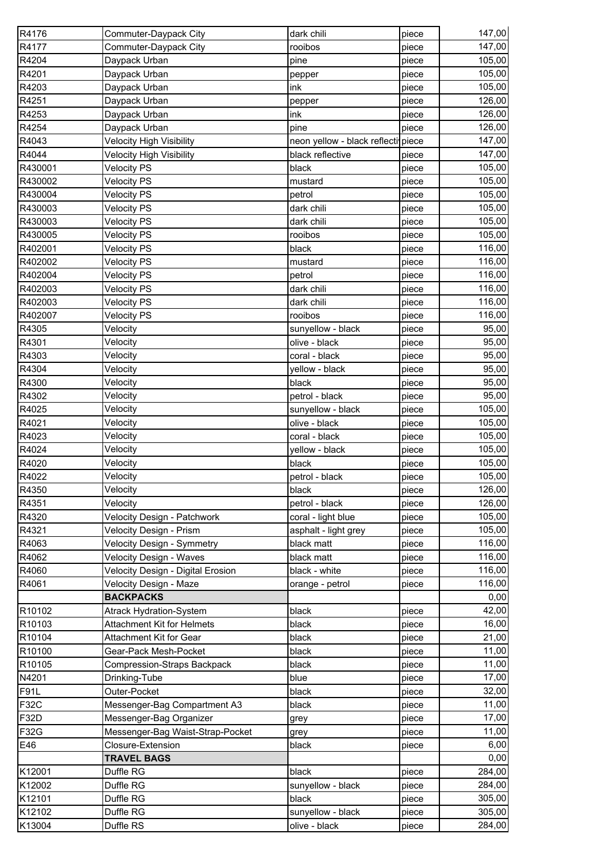| R4176       | Commuter-Daypack City             | dark chili                         | piece | 147,00 |
|-------------|-----------------------------------|------------------------------------|-------|--------|
| R4177       | Commuter-Daypack City             | rooibos                            | piece | 147,00 |
| R4204       | Daypack Urban                     | pine                               | piece | 105,00 |
| R4201       | Daypack Urban                     | pepper                             | piece | 105,00 |
| R4203       | Daypack Urban                     | ink                                | piece | 105,00 |
| R4251       | Daypack Urban                     | pepper                             | piece | 126,00 |
| R4253       | Daypack Urban                     | ink                                | piece | 126,00 |
| R4254       | Daypack Urban                     | pine                               | piece | 126,00 |
| R4043       | <b>Velocity High Visibility</b>   | neon yellow - black reflecti piece |       | 147,00 |
| R4044       | <b>Velocity High Visibility</b>   | black reflective                   | piece | 147,00 |
| R430001     | <b>Velocity PS</b>                | black                              | piece | 105,00 |
| R430002     | <b>Velocity PS</b>                | mustard                            | piece | 105,00 |
| R430004     | <b>Velocity PS</b>                | petrol                             | piece | 105,00 |
| R430003     | <b>Velocity PS</b>                | dark chili                         | piece | 105,00 |
| R430003     | <b>Velocity PS</b>                | dark chili                         | piece | 105,00 |
| R430005     | <b>Velocity PS</b>                | rooibos                            | piece | 105,00 |
| R402001     | <b>Velocity PS</b>                | black                              | piece | 116,00 |
| R402002     | <b>Velocity PS</b>                | mustard                            | piece | 116,00 |
| R402004     | <b>Velocity PS</b>                | petrol                             | piece | 116,00 |
| R402003     | <b>Velocity PS</b>                | dark chili                         | piece | 116,00 |
| R402003     | <b>Velocity PS</b>                | dark chili                         | piece | 116,00 |
| R402007     | <b>Velocity PS</b>                | rooibos                            | piece | 116,00 |
| R4305       | Velocity                          | sunyellow - black                  | piece | 95,00  |
| R4301       | Velocity                          | olive - black                      | piece | 95,00  |
| R4303       | Velocity                          | coral - black                      | piece | 95,00  |
| R4304       | Velocity                          | yellow - black                     | piece | 95,00  |
| R4300       | Velocity                          | black                              | piece | 95,00  |
| R4302       | Velocity                          | petrol - black                     | piece | 95,00  |
| R4025       | Velocity                          | sunyellow - black                  | piece | 105,00 |
| R4021       | Velocity                          | olive - black                      | piece | 105,00 |
| R4023       | Velocity                          | coral - black                      | piece | 105,00 |
| R4024       | Velocity                          | yellow - black                     | piece | 105,00 |
| R4020       | Velocity                          | black                              | piece | 105,00 |
| R4022       | Velocity                          | petrol - black                     | piece | 105,00 |
| R4350       | Velocity                          | black                              | piece | 126,00 |
| R4351       | Velocity                          | petrol - black                     | piece | 126,00 |
| R4320       | Velocity Design - Patchwork       | coral - light blue                 | piece | 105,00 |
| R4321       | Velocity Design - Prism           | asphalt - light grey               | piece | 105,00 |
| R4063       | Velocity Design - Symmetry        | black matt                         | piece | 116,00 |
| R4062       | Velocity Design - Waves           | black matt                         | piece | 116,00 |
| R4060       | Velocity Design - Digital Erosion | black - white                      | piece | 116,00 |
| R4061       | Velocity Design - Maze            | orange - petrol                    | piece | 116,00 |
|             | <b>BACKPACKS</b>                  |                                    |       | 0,00   |
| R10102      | <b>Atrack Hydration-System</b>    | black                              | piece | 42,00  |
| R10103      | Attachment Kit for Helmets        | black                              | piece | 16,00  |
| R10104      | Attachment Kit for Gear           | black                              | piece | 21,00  |
| R10100      | Gear-Pack Mesh-Pocket             | black                              | piece | 11,00  |
| R10105      | Compression-Straps Backpack       | black                              | piece | 11,00  |
| N4201       | Drinking-Tube                     | blue                               | piece | 17,00  |
| <b>F91L</b> | Outer-Pocket                      | black                              | piece | 32,00  |
| <b>F32C</b> | Messenger-Bag Compartment A3      | black                              | piece | 11,00  |
| F32D        | Messenger-Bag Organizer           | grey                               | piece | 17,00  |
| F32G        | Messenger-Bag Waist-Strap-Pocket  | grey                               | piece | 11,00  |
| E46         | Closure-Extension                 | black                              | piece | 6,00   |
|             | <b>TRAVEL BAGS</b>                |                                    |       | 0,00   |
| K12001      | Duffle RG                         | black                              | piece | 284,00 |
| K12002      | Duffle RG                         | sunyellow - black                  | piece | 284,00 |
| K12101      | Duffle RG                         | black                              | piece | 305,00 |
| K12102      | Duffle RG                         | sunyellow - black                  | piece | 305,00 |
| K13004      | Duffle RS                         | olive - black                      | piece | 284,00 |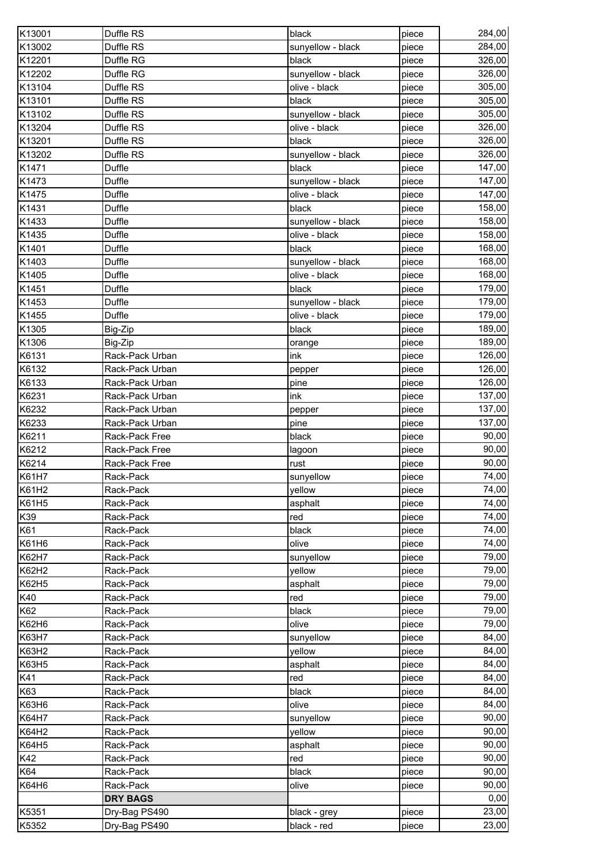| Duffle RS<br>sunyellow - black<br>284,00<br>piece<br>Duffle RG<br>326,00<br>black<br>piece<br>326,00<br>sunyellow - black<br>Duffle RG<br>piece<br>305,00<br>Duffle RS<br>olive - black<br>piece<br>Duffle RS<br>305,00<br>K13101<br>black<br>piece<br>305,00<br>K13102<br>Duffle RS<br>sunyellow - black<br>piece<br>K13204<br>326,00<br>Duffle RS<br>olive - black<br>piece<br>326,00<br>K13201<br>Duffle RS<br>black<br>piece<br>K13202<br>Duffle RS<br>326,00<br>sunyellow - black<br>piece<br>147,00<br>K1471<br>Duffle<br>black<br>piece<br>K1473<br>Duffle<br>sunyellow - black<br>147,00<br>piece<br>K1475<br>Duffle<br>olive - black<br>147,00<br>piece<br>K1431<br><b>Duffle</b><br>158,00<br>black<br>piece<br>158,00<br>K1433<br>Duffle<br>sunyellow - black<br>piece<br>158,00<br>K1435<br>Duffle<br>olive - black<br>piece<br>168,00<br>K1401<br>Duffle<br>black<br>piece<br>168,00<br>K1403<br>Duffle<br>sunyellow - black<br>piece<br><b>Duffle</b><br>168,00<br>K1405<br>olive - black<br>piece<br>179,00<br>K1451<br>Duffle<br>black<br>piece<br>K1453<br><b>Duffle</b><br>179,00<br>sunyellow - black<br>piece<br>K1455<br>Duffle<br>olive - black<br>179,00<br>piece<br>189,00<br>K1305<br>Big-Zip<br>black<br>piece<br>K1306<br>189,00<br>Big-Zip<br>piece<br>orange<br>K6131<br>126,00<br>Rack-Pack Urban<br>ink<br>piece<br>126,00<br>K6132<br>Rack-Pack Urban<br>piece<br>pepper<br>126,00<br>K6133<br>Rack-Pack Urban<br>pine<br>piece<br>K6231<br>ink<br>137,00<br>Rack-Pack Urban<br>piece<br>137,00<br>K6232<br>Rack-Pack Urban<br>piece<br>pepper<br>K6233<br>137,00<br>Rack-Pack Urban<br>pine<br>piece<br>black<br>90,00<br>Rack-Pack Free<br>piece<br>90,00<br>Rack-Pack Free<br>lagoon<br>piece<br>90,00<br>Rack-Pack Free<br>rust<br>piece<br>74,00<br>sunyellow<br>piece<br>Rack-Pack<br>yellow<br>74,00<br>Rack-Pack<br>piece<br>74,00<br>Rack-Pack<br>asphalt<br>piece<br>74,00<br>Rack-Pack<br>red<br>piece<br>74,00<br>Rack-Pack<br>black<br>piece<br>74,00<br>K61H6<br>Rack-Pack<br>olive<br>piece<br>K62H7<br>sunyellow<br>79,00<br>Rack-Pack<br>piece<br>79,00<br>Rack-Pack<br>yellow<br>piece<br>K62H5<br>79,00<br>asphalt<br>Rack-Pack<br>piece<br>K40<br>red<br>79,00<br>Rack-Pack<br>piece<br>79,00<br>K62<br>Rack-Pack<br>black<br>piece<br>79,00<br>K62H6<br>olive<br>Rack-Pack<br>piece<br>K63H7<br>Rack-Pack<br>84,00<br>sunyellow<br>piece<br>K63H2<br>yellow<br>84,00<br>Rack-Pack<br>piece<br>K63H5<br>84,00<br>asphalt<br>Rack-Pack<br>piece<br>84,00<br>K41<br>red<br>Rack-Pack<br>piece<br>K63<br>84,00<br>Rack-Pack<br>black<br>piece<br>84,00<br>K63H6<br>olive<br>Rack-Pack<br>piece<br>90,00<br>K64H7<br>Rack-Pack<br>sunyellow<br>piece<br>90,00<br>K64H2<br>yellow<br>Rack-Pack<br>piece<br>90,00<br>K64H5<br>Rack-Pack<br>asphalt<br>piece<br>K42<br>90,00<br>Rack-Pack<br>red<br>piece<br>90,00<br>K64<br>black<br>Rack-Pack<br>piece<br>K64H6<br>Rack-Pack<br>olive<br>90,00<br>piece<br><b>DRY BAGS</b><br>0,00<br>K5351<br>23,00<br>Dry-Bag PS490<br>black - grey<br>piece | K13001 | Duffle RS     | black       | piece | 284,00 |
|-----------------------------------------------------------------------------------------------------------------------------------------------------------------------------------------------------------------------------------------------------------------------------------------------------------------------------------------------------------------------------------------------------------------------------------------------------------------------------------------------------------------------------------------------------------------------------------------------------------------------------------------------------------------------------------------------------------------------------------------------------------------------------------------------------------------------------------------------------------------------------------------------------------------------------------------------------------------------------------------------------------------------------------------------------------------------------------------------------------------------------------------------------------------------------------------------------------------------------------------------------------------------------------------------------------------------------------------------------------------------------------------------------------------------------------------------------------------------------------------------------------------------------------------------------------------------------------------------------------------------------------------------------------------------------------------------------------------------------------------------------------------------------------------------------------------------------------------------------------------------------------------------------------------------------------------------------------------------------------------------------------------------------------------------------------------------------------------------------------------------------------------------------------------------------------------------------------------------------------------------------------------------------------------------------------------------------------------------------------------------------------------------------------------------------------------------------------------------------------------------------------------------------------------------------------------------------------------------------------------------------------------------------------------------------------------------------------------------------------------------------------------------------------------------------------------------------------------------------------------------------------------------------------------------------------------------------------------------------------------------------------------------------------------------|--------|---------------|-------------|-------|--------|
|                                                                                                                                                                                                                                                                                                                                                                                                                                                                                                                                                                                                                                                                                                                                                                                                                                                                                                                                                                                                                                                                                                                                                                                                                                                                                                                                                                                                                                                                                                                                                                                                                                                                                                                                                                                                                                                                                                                                                                                                                                                                                                                                                                                                                                                                                                                                                                                                                                                                                                                                                                                                                                                                                                                                                                                                                                                                                                                                                                                                                                               | K13002 |               |             |       |        |
|                                                                                                                                                                                                                                                                                                                                                                                                                                                                                                                                                                                                                                                                                                                                                                                                                                                                                                                                                                                                                                                                                                                                                                                                                                                                                                                                                                                                                                                                                                                                                                                                                                                                                                                                                                                                                                                                                                                                                                                                                                                                                                                                                                                                                                                                                                                                                                                                                                                                                                                                                                                                                                                                                                                                                                                                                                                                                                                                                                                                                                               | K12201 |               |             |       |        |
|                                                                                                                                                                                                                                                                                                                                                                                                                                                                                                                                                                                                                                                                                                                                                                                                                                                                                                                                                                                                                                                                                                                                                                                                                                                                                                                                                                                                                                                                                                                                                                                                                                                                                                                                                                                                                                                                                                                                                                                                                                                                                                                                                                                                                                                                                                                                                                                                                                                                                                                                                                                                                                                                                                                                                                                                                                                                                                                                                                                                                                               | K12202 |               |             |       |        |
|                                                                                                                                                                                                                                                                                                                                                                                                                                                                                                                                                                                                                                                                                                                                                                                                                                                                                                                                                                                                                                                                                                                                                                                                                                                                                                                                                                                                                                                                                                                                                                                                                                                                                                                                                                                                                                                                                                                                                                                                                                                                                                                                                                                                                                                                                                                                                                                                                                                                                                                                                                                                                                                                                                                                                                                                                                                                                                                                                                                                                                               | K13104 |               |             |       |        |
|                                                                                                                                                                                                                                                                                                                                                                                                                                                                                                                                                                                                                                                                                                                                                                                                                                                                                                                                                                                                                                                                                                                                                                                                                                                                                                                                                                                                                                                                                                                                                                                                                                                                                                                                                                                                                                                                                                                                                                                                                                                                                                                                                                                                                                                                                                                                                                                                                                                                                                                                                                                                                                                                                                                                                                                                                                                                                                                                                                                                                                               |        |               |             |       |        |
|                                                                                                                                                                                                                                                                                                                                                                                                                                                                                                                                                                                                                                                                                                                                                                                                                                                                                                                                                                                                                                                                                                                                                                                                                                                                                                                                                                                                                                                                                                                                                                                                                                                                                                                                                                                                                                                                                                                                                                                                                                                                                                                                                                                                                                                                                                                                                                                                                                                                                                                                                                                                                                                                                                                                                                                                                                                                                                                                                                                                                                               |        |               |             |       |        |
|                                                                                                                                                                                                                                                                                                                                                                                                                                                                                                                                                                                                                                                                                                                                                                                                                                                                                                                                                                                                                                                                                                                                                                                                                                                                                                                                                                                                                                                                                                                                                                                                                                                                                                                                                                                                                                                                                                                                                                                                                                                                                                                                                                                                                                                                                                                                                                                                                                                                                                                                                                                                                                                                                                                                                                                                                                                                                                                                                                                                                                               |        |               |             |       |        |
|                                                                                                                                                                                                                                                                                                                                                                                                                                                                                                                                                                                                                                                                                                                                                                                                                                                                                                                                                                                                                                                                                                                                                                                                                                                                                                                                                                                                                                                                                                                                                                                                                                                                                                                                                                                                                                                                                                                                                                                                                                                                                                                                                                                                                                                                                                                                                                                                                                                                                                                                                                                                                                                                                                                                                                                                                                                                                                                                                                                                                                               |        |               |             |       |        |
|                                                                                                                                                                                                                                                                                                                                                                                                                                                                                                                                                                                                                                                                                                                                                                                                                                                                                                                                                                                                                                                                                                                                                                                                                                                                                                                                                                                                                                                                                                                                                                                                                                                                                                                                                                                                                                                                                                                                                                                                                                                                                                                                                                                                                                                                                                                                                                                                                                                                                                                                                                                                                                                                                                                                                                                                                                                                                                                                                                                                                                               |        |               |             |       |        |
|                                                                                                                                                                                                                                                                                                                                                                                                                                                                                                                                                                                                                                                                                                                                                                                                                                                                                                                                                                                                                                                                                                                                                                                                                                                                                                                                                                                                                                                                                                                                                                                                                                                                                                                                                                                                                                                                                                                                                                                                                                                                                                                                                                                                                                                                                                                                                                                                                                                                                                                                                                                                                                                                                                                                                                                                                                                                                                                                                                                                                                               |        |               |             |       |        |
|                                                                                                                                                                                                                                                                                                                                                                                                                                                                                                                                                                                                                                                                                                                                                                                                                                                                                                                                                                                                                                                                                                                                                                                                                                                                                                                                                                                                                                                                                                                                                                                                                                                                                                                                                                                                                                                                                                                                                                                                                                                                                                                                                                                                                                                                                                                                                                                                                                                                                                                                                                                                                                                                                                                                                                                                                                                                                                                                                                                                                                               |        |               |             |       |        |
|                                                                                                                                                                                                                                                                                                                                                                                                                                                                                                                                                                                                                                                                                                                                                                                                                                                                                                                                                                                                                                                                                                                                                                                                                                                                                                                                                                                                                                                                                                                                                                                                                                                                                                                                                                                                                                                                                                                                                                                                                                                                                                                                                                                                                                                                                                                                                                                                                                                                                                                                                                                                                                                                                                                                                                                                                                                                                                                                                                                                                                               |        |               |             |       |        |
|                                                                                                                                                                                                                                                                                                                                                                                                                                                                                                                                                                                                                                                                                                                                                                                                                                                                                                                                                                                                                                                                                                                                                                                                                                                                                                                                                                                                                                                                                                                                                                                                                                                                                                                                                                                                                                                                                                                                                                                                                                                                                                                                                                                                                                                                                                                                                                                                                                                                                                                                                                                                                                                                                                                                                                                                                                                                                                                                                                                                                                               |        |               |             |       |        |
|                                                                                                                                                                                                                                                                                                                                                                                                                                                                                                                                                                                                                                                                                                                                                                                                                                                                                                                                                                                                                                                                                                                                                                                                                                                                                                                                                                                                                                                                                                                                                                                                                                                                                                                                                                                                                                                                                                                                                                                                                                                                                                                                                                                                                                                                                                                                                                                                                                                                                                                                                                                                                                                                                                                                                                                                                                                                                                                                                                                                                                               |        |               |             |       |        |
|                                                                                                                                                                                                                                                                                                                                                                                                                                                                                                                                                                                                                                                                                                                                                                                                                                                                                                                                                                                                                                                                                                                                                                                                                                                                                                                                                                                                                                                                                                                                                                                                                                                                                                                                                                                                                                                                                                                                                                                                                                                                                                                                                                                                                                                                                                                                                                                                                                                                                                                                                                                                                                                                                                                                                                                                                                                                                                                                                                                                                                               |        |               |             |       |        |
|                                                                                                                                                                                                                                                                                                                                                                                                                                                                                                                                                                                                                                                                                                                                                                                                                                                                                                                                                                                                                                                                                                                                                                                                                                                                                                                                                                                                                                                                                                                                                                                                                                                                                                                                                                                                                                                                                                                                                                                                                                                                                                                                                                                                                                                                                                                                                                                                                                                                                                                                                                                                                                                                                                                                                                                                                                                                                                                                                                                                                                               |        |               |             |       |        |
|                                                                                                                                                                                                                                                                                                                                                                                                                                                                                                                                                                                                                                                                                                                                                                                                                                                                                                                                                                                                                                                                                                                                                                                                                                                                                                                                                                                                                                                                                                                                                                                                                                                                                                                                                                                                                                                                                                                                                                                                                                                                                                                                                                                                                                                                                                                                                                                                                                                                                                                                                                                                                                                                                                                                                                                                                                                                                                                                                                                                                                               |        |               |             |       |        |
|                                                                                                                                                                                                                                                                                                                                                                                                                                                                                                                                                                                                                                                                                                                                                                                                                                                                                                                                                                                                                                                                                                                                                                                                                                                                                                                                                                                                                                                                                                                                                                                                                                                                                                                                                                                                                                                                                                                                                                                                                                                                                                                                                                                                                                                                                                                                                                                                                                                                                                                                                                                                                                                                                                                                                                                                                                                                                                                                                                                                                                               |        |               |             |       |        |
|                                                                                                                                                                                                                                                                                                                                                                                                                                                                                                                                                                                                                                                                                                                                                                                                                                                                                                                                                                                                                                                                                                                                                                                                                                                                                                                                                                                                                                                                                                                                                                                                                                                                                                                                                                                                                                                                                                                                                                                                                                                                                                                                                                                                                                                                                                                                                                                                                                                                                                                                                                                                                                                                                                                                                                                                                                                                                                                                                                                                                                               |        |               |             |       |        |
|                                                                                                                                                                                                                                                                                                                                                                                                                                                                                                                                                                                                                                                                                                                                                                                                                                                                                                                                                                                                                                                                                                                                                                                                                                                                                                                                                                                                                                                                                                                                                                                                                                                                                                                                                                                                                                                                                                                                                                                                                                                                                                                                                                                                                                                                                                                                                                                                                                                                                                                                                                                                                                                                                                                                                                                                                                                                                                                                                                                                                                               |        |               |             |       |        |
|                                                                                                                                                                                                                                                                                                                                                                                                                                                                                                                                                                                                                                                                                                                                                                                                                                                                                                                                                                                                                                                                                                                                                                                                                                                                                                                                                                                                                                                                                                                                                                                                                                                                                                                                                                                                                                                                                                                                                                                                                                                                                                                                                                                                                                                                                                                                                                                                                                                                                                                                                                                                                                                                                                                                                                                                                                                                                                                                                                                                                                               |        |               |             |       |        |
|                                                                                                                                                                                                                                                                                                                                                                                                                                                                                                                                                                                                                                                                                                                                                                                                                                                                                                                                                                                                                                                                                                                                                                                                                                                                                                                                                                                                                                                                                                                                                                                                                                                                                                                                                                                                                                                                                                                                                                                                                                                                                                                                                                                                                                                                                                                                                                                                                                                                                                                                                                                                                                                                                                                                                                                                                                                                                                                                                                                                                                               |        |               |             |       |        |
|                                                                                                                                                                                                                                                                                                                                                                                                                                                                                                                                                                                                                                                                                                                                                                                                                                                                                                                                                                                                                                                                                                                                                                                                                                                                                                                                                                                                                                                                                                                                                                                                                                                                                                                                                                                                                                                                                                                                                                                                                                                                                                                                                                                                                                                                                                                                                                                                                                                                                                                                                                                                                                                                                                                                                                                                                                                                                                                                                                                                                                               |        |               |             |       |        |
|                                                                                                                                                                                                                                                                                                                                                                                                                                                                                                                                                                                                                                                                                                                                                                                                                                                                                                                                                                                                                                                                                                                                                                                                                                                                                                                                                                                                                                                                                                                                                                                                                                                                                                                                                                                                                                                                                                                                                                                                                                                                                                                                                                                                                                                                                                                                                                                                                                                                                                                                                                                                                                                                                                                                                                                                                                                                                                                                                                                                                                               |        |               |             |       |        |
|                                                                                                                                                                                                                                                                                                                                                                                                                                                                                                                                                                                                                                                                                                                                                                                                                                                                                                                                                                                                                                                                                                                                                                                                                                                                                                                                                                                                                                                                                                                                                                                                                                                                                                                                                                                                                                                                                                                                                                                                                                                                                                                                                                                                                                                                                                                                                                                                                                                                                                                                                                                                                                                                                                                                                                                                                                                                                                                                                                                                                                               |        |               |             |       |        |
|                                                                                                                                                                                                                                                                                                                                                                                                                                                                                                                                                                                                                                                                                                                                                                                                                                                                                                                                                                                                                                                                                                                                                                                                                                                                                                                                                                                                                                                                                                                                                                                                                                                                                                                                                                                                                                                                                                                                                                                                                                                                                                                                                                                                                                                                                                                                                                                                                                                                                                                                                                                                                                                                                                                                                                                                                                                                                                                                                                                                                                               |        |               |             |       |        |
|                                                                                                                                                                                                                                                                                                                                                                                                                                                                                                                                                                                                                                                                                                                                                                                                                                                                                                                                                                                                                                                                                                                                                                                                                                                                                                                                                                                                                                                                                                                                                                                                                                                                                                                                                                                                                                                                                                                                                                                                                                                                                                                                                                                                                                                                                                                                                                                                                                                                                                                                                                                                                                                                                                                                                                                                                                                                                                                                                                                                                                               |        |               |             |       |        |
|                                                                                                                                                                                                                                                                                                                                                                                                                                                                                                                                                                                                                                                                                                                                                                                                                                                                                                                                                                                                                                                                                                                                                                                                                                                                                                                                                                                                                                                                                                                                                                                                                                                                                                                                                                                                                                                                                                                                                                                                                                                                                                                                                                                                                                                                                                                                                                                                                                                                                                                                                                                                                                                                                                                                                                                                                                                                                                                                                                                                                                               |        |               |             |       |        |
|                                                                                                                                                                                                                                                                                                                                                                                                                                                                                                                                                                                                                                                                                                                                                                                                                                                                                                                                                                                                                                                                                                                                                                                                                                                                                                                                                                                                                                                                                                                                                                                                                                                                                                                                                                                                                                                                                                                                                                                                                                                                                                                                                                                                                                                                                                                                                                                                                                                                                                                                                                                                                                                                                                                                                                                                                                                                                                                                                                                                                                               | K6211  |               |             |       |        |
|                                                                                                                                                                                                                                                                                                                                                                                                                                                                                                                                                                                                                                                                                                                                                                                                                                                                                                                                                                                                                                                                                                                                                                                                                                                                                                                                                                                                                                                                                                                                                                                                                                                                                                                                                                                                                                                                                                                                                                                                                                                                                                                                                                                                                                                                                                                                                                                                                                                                                                                                                                                                                                                                                                                                                                                                                                                                                                                                                                                                                                               | K6212  |               |             |       |        |
|                                                                                                                                                                                                                                                                                                                                                                                                                                                                                                                                                                                                                                                                                                                                                                                                                                                                                                                                                                                                                                                                                                                                                                                                                                                                                                                                                                                                                                                                                                                                                                                                                                                                                                                                                                                                                                                                                                                                                                                                                                                                                                                                                                                                                                                                                                                                                                                                                                                                                                                                                                                                                                                                                                                                                                                                                                                                                                                                                                                                                                               | K6214  |               |             |       |        |
|                                                                                                                                                                                                                                                                                                                                                                                                                                                                                                                                                                                                                                                                                                                                                                                                                                                                                                                                                                                                                                                                                                                                                                                                                                                                                                                                                                                                                                                                                                                                                                                                                                                                                                                                                                                                                                                                                                                                                                                                                                                                                                                                                                                                                                                                                                                                                                                                                                                                                                                                                                                                                                                                                                                                                                                                                                                                                                                                                                                                                                               | K61H7  |               |             |       |        |
|                                                                                                                                                                                                                                                                                                                                                                                                                                                                                                                                                                                                                                                                                                                                                                                                                                                                                                                                                                                                                                                                                                                                                                                                                                                                                                                                                                                                                                                                                                                                                                                                                                                                                                                                                                                                                                                                                                                                                                                                                                                                                                                                                                                                                                                                                                                                                                                                                                                                                                                                                                                                                                                                                                                                                                                                                                                                                                                                                                                                                                               | K61H2  |               |             |       |        |
|                                                                                                                                                                                                                                                                                                                                                                                                                                                                                                                                                                                                                                                                                                                                                                                                                                                                                                                                                                                                                                                                                                                                                                                                                                                                                                                                                                                                                                                                                                                                                                                                                                                                                                                                                                                                                                                                                                                                                                                                                                                                                                                                                                                                                                                                                                                                                                                                                                                                                                                                                                                                                                                                                                                                                                                                                                                                                                                                                                                                                                               | K61H5  |               |             |       |        |
|                                                                                                                                                                                                                                                                                                                                                                                                                                                                                                                                                                                                                                                                                                                                                                                                                                                                                                                                                                                                                                                                                                                                                                                                                                                                                                                                                                                                                                                                                                                                                                                                                                                                                                                                                                                                                                                                                                                                                                                                                                                                                                                                                                                                                                                                                                                                                                                                                                                                                                                                                                                                                                                                                                                                                                                                                                                                                                                                                                                                                                               | K39    |               |             |       |        |
|                                                                                                                                                                                                                                                                                                                                                                                                                                                                                                                                                                                                                                                                                                                                                                                                                                                                                                                                                                                                                                                                                                                                                                                                                                                                                                                                                                                                                                                                                                                                                                                                                                                                                                                                                                                                                                                                                                                                                                                                                                                                                                                                                                                                                                                                                                                                                                                                                                                                                                                                                                                                                                                                                                                                                                                                                                                                                                                                                                                                                                               | K61    |               |             |       |        |
|                                                                                                                                                                                                                                                                                                                                                                                                                                                                                                                                                                                                                                                                                                                                                                                                                                                                                                                                                                                                                                                                                                                                                                                                                                                                                                                                                                                                                                                                                                                                                                                                                                                                                                                                                                                                                                                                                                                                                                                                                                                                                                                                                                                                                                                                                                                                                                                                                                                                                                                                                                                                                                                                                                                                                                                                                                                                                                                                                                                                                                               |        |               |             |       |        |
|                                                                                                                                                                                                                                                                                                                                                                                                                                                                                                                                                                                                                                                                                                                                                                                                                                                                                                                                                                                                                                                                                                                                                                                                                                                                                                                                                                                                                                                                                                                                                                                                                                                                                                                                                                                                                                                                                                                                                                                                                                                                                                                                                                                                                                                                                                                                                                                                                                                                                                                                                                                                                                                                                                                                                                                                                                                                                                                                                                                                                                               |        |               |             |       |        |
|                                                                                                                                                                                                                                                                                                                                                                                                                                                                                                                                                                                                                                                                                                                                                                                                                                                                                                                                                                                                                                                                                                                                                                                                                                                                                                                                                                                                                                                                                                                                                                                                                                                                                                                                                                                                                                                                                                                                                                                                                                                                                                                                                                                                                                                                                                                                                                                                                                                                                                                                                                                                                                                                                                                                                                                                                                                                                                                                                                                                                                               | K62H2  |               |             |       |        |
|                                                                                                                                                                                                                                                                                                                                                                                                                                                                                                                                                                                                                                                                                                                                                                                                                                                                                                                                                                                                                                                                                                                                                                                                                                                                                                                                                                                                                                                                                                                                                                                                                                                                                                                                                                                                                                                                                                                                                                                                                                                                                                                                                                                                                                                                                                                                                                                                                                                                                                                                                                                                                                                                                                                                                                                                                                                                                                                                                                                                                                               |        |               |             |       |        |
|                                                                                                                                                                                                                                                                                                                                                                                                                                                                                                                                                                                                                                                                                                                                                                                                                                                                                                                                                                                                                                                                                                                                                                                                                                                                                                                                                                                                                                                                                                                                                                                                                                                                                                                                                                                                                                                                                                                                                                                                                                                                                                                                                                                                                                                                                                                                                                                                                                                                                                                                                                                                                                                                                                                                                                                                                                                                                                                                                                                                                                               |        |               |             |       |        |
|                                                                                                                                                                                                                                                                                                                                                                                                                                                                                                                                                                                                                                                                                                                                                                                                                                                                                                                                                                                                                                                                                                                                                                                                                                                                                                                                                                                                                                                                                                                                                                                                                                                                                                                                                                                                                                                                                                                                                                                                                                                                                                                                                                                                                                                                                                                                                                                                                                                                                                                                                                                                                                                                                                                                                                                                                                                                                                                                                                                                                                               |        |               |             |       |        |
|                                                                                                                                                                                                                                                                                                                                                                                                                                                                                                                                                                                                                                                                                                                                                                                                                                                                                                                                                                                                                                                                                                                                                                                                                                                                                                                                                                                                                                                                                                                                                                                                                                                                                                                                                                                                                                                                                                                                                                                                                                                                                                                                                                                                                                                                                                                                                                                                                                                                                                                                                                                                                                                                                                                                                                                                                                                                                                                                                                                                                                               |        |               |             |       |        |
|                                                                                                                                                                                                                                                                                                                                                                                                                                                                                                                                                                                                                                                                                                                                                                                                                                                                                                                                                                                                                                                                                                                                                                                                                                                                                                                                                                                                                                                                                                                                                                                                                                                                                                                                                                                                                                                                                                                                                                                                                                                                                                                                                                                                                                                                                                                                                                                                                                                                                                                                                                                                                                                                                                                                                                                                                                                                                                                                                                                                                                               |        |               |             |       |        |
|                                                                                                                                                                                                                                                                                                                                                                                                                                                                                                                                                                                                                                                                                                                                                                                                                                                                                                                                                                                                                                                                                                                                                                                                                                                                                                                                                                                                                                                                                                                                                                                                                                                                                                                                                                                                                                                                                                                                                                                                                                                                                                                                                                                                                                                                                                                                                                                                                                                                                                                                                                                                                                                                                                                                                                                                                                                                                                                                                                                                                                               |        |               |             |       |        |
|                                                                                                                                                                                                                                                                                                                                                                                                                                                                                                                                                                                                                                                                                                                                                                                                                                                                                                                                                                                                                                                                                                                                                                                                                                                                                                                                                                                                                                                                                                                                                                                                                                                                                                                                                                                                                                                                                                                                                                                                                                                                                                                                                                                                                                                                                                                                                                                                                                                                                                                                                                                                                                                                                                                                                                                                                                                                                                                                                                                                                                               |        |               |             |       |        |
|                                                                                                                                                                                                                                                                                                                                                                                                                                                                                                                                                                                                                                                                                                                                                                                                                                                                                                                                                                                                                                                                                                                                                                                                                                                                                                                                                                                                                                                                                                                                                                                                                                                                                                                                                                                                                                                                                                                                                                                                                                                                                                                                                                                                                                                                                                                                                                                                                                                                                                                                                                                                                                                                                                                                                                                                                                                                                                                                                                                                                                               |        |               |             |       |        |
|                                                                                                                                                                                                                                                                                                                                                                                                                                                                                                                                                                                                                                                                                                                                                                                                                                                                                                                                                                                                                                                                                                                                                                                                                                                                                                                                                                                                                                                                                                                                                                                                                                                                                                                                                                                                                                                                                                                                                                                                                                                                                                                                                                                                                                                                                                                                                                                                                                                                                                                                                                                                                                                                                                                                                                                                                                                                                                                                                                                                                                               |        |               |             |       |        |
|                                                                                                                                                                                                                                                                                                                                                                                                                                                                                                                                                                                                                                                                                                                                                                                                                                                                                                                                                                                                                                                                                                                                                                                                                                                                                                                                                                                                                                                                                                                                                                                                                                                                                                                                                                                                                                                                                                                                                                                                                                                                                                                                                                                                                                                                                                                                                                                                                                                                                                                                                                                                                                                                                                                                                                                                                                                                                                                                                                                                                                               |        |               |             |       |        |
|                                                                                                                                                                                                                                                                                                                                                                                                                                                                                                                                                                                                                                                                                                                                                                                                                                                                                                                                                                                                                                                                                                                                                                                                                                                                                                                                                                                                                                                                                                                                                                                                                                                                                                                                                                                                                                                                                                                                                                                                                                                                                                                                                                                                                                                                                                                                                                                                                                                                                                                                                                                                                                                                                                                                                                                                                                                                                                                                                                                                                                               |        |               |             |       |        |
|                                                                                                                                                                                                                                                                                                                                                                                                                                                                                                                                                                                                                                                                                                                                                                                                                                                                                                                                                                                                                                                                                                                                                                                                                                                                                                                                                                                                                                                                                                                                                                                                                                                                                                                                                                                                                                                                                                                                                                                                                                                                                                                                                                                                                                                                                                                                                                                                                                                                                                                                                                                                                                                                                                                                                                                                                                                                                                                                                                                                                                               |        |               |             |       |        |
|                                                                                                                                                                                                                                                                                                                                                                                                                                                                                                                                                                                                                                                                                                                                                                                                                                                                                                                                                                                                                                                                                                                                                                                                                                                                                                                                                                                                                                                                                                                                                                                                                                                                                                                                                                                                                                                                                                                                                                                                                                                                                                                                                                                                                                                                                                                                                                                                                                                                                                                                                                                                                                                                                                                                                                                                                                                                                                                                                                                                                                               |        |               |             |       |        |
|                                                                                                                                                                                                                                                                                                                                                                                                                                                                                                                                                                                                                                                                                                                                                                                                                                                                                                                                                                                                                                                                                                                                                                                                                                                                                                                                                                                                                                                                                                                                                                                                                                                                                                                                                                                                                                                                                                                                                                                                                                                                                                                                                                                                                                                                                                                                                                                                                                                                                                                                                                                                                                                                                                                                                                                                                                                                                                                                                                                                                                               |        |               |             |       |        |
|                                                                                                                                                                                                                                                                                                                                                                                                                                                                                                                                                                                                                                                                                                                                                                                                                                                                                                                                                                                                                                                                                                                                                                                                                                                                                                                                                                                                                                                                                                                                                                                                                                                                                                                                                                                                                                                                                                                                                                                                                                                                                                                                                                                                                                                                                                                                                                                                                                                                                                                                                                                                                                                                                                                                                                                                                                                                                                                                                                                                                                               |        |               |             |       |        |
|                                                                                                                                                                                                                                                                                                                                                                                                                                                                                                                                                                                                                                                                                                                                                                                                                                                                                                                                                                                                                                                                                                                                                                                                                                                                                                                                                                                                                                                                                                                                                                                                                                                                                                                                                                                                                                                                                                                                                                                                                                                                                                                                                                                                                                                                                                                                                                                                                                                                                                                                                                                                                                                                                                                                                                                                                                                                                                                                                                                                                                               |        |               |             |       |        |
|                                                                                                                                                                                                                                                                                                                                                                                                                                                                                                                                                                                                                                                                                                                                                                                                                                                                                                                                                                                                                                                                                                                                                                                                                                                                                                                                                                                                                                                                                                                                                                                                                                                                                                                                                                                                                                                                                                                                                                                                                                                                                                                                                                                                                                                                                                                                                                                                                                                                                                                                                                                                                                                                                                                                                                                                                                                                                                                                                                                                                                               |        |               |             |       |        |
|                                                                                                                                                                                                                                                                                                                                                                                                                                                                                                                                                                                                                                                                                                                                                                                                                                                                                                                                                                                                                                                                                                                                                                                                                                                                                                                                                                                                                                                                                                                                                                                                                                                                                                                                                                                                                                                                                                                                                                                                                                                                                                                                                                                                                                                                                                                                                                                                                                                                                                                                                                                                                                                                                                                                                                                                                                                                                                                                                                                                                                               | K5352  | Dry-Bag PS490 | black - red | piece | 23,00  |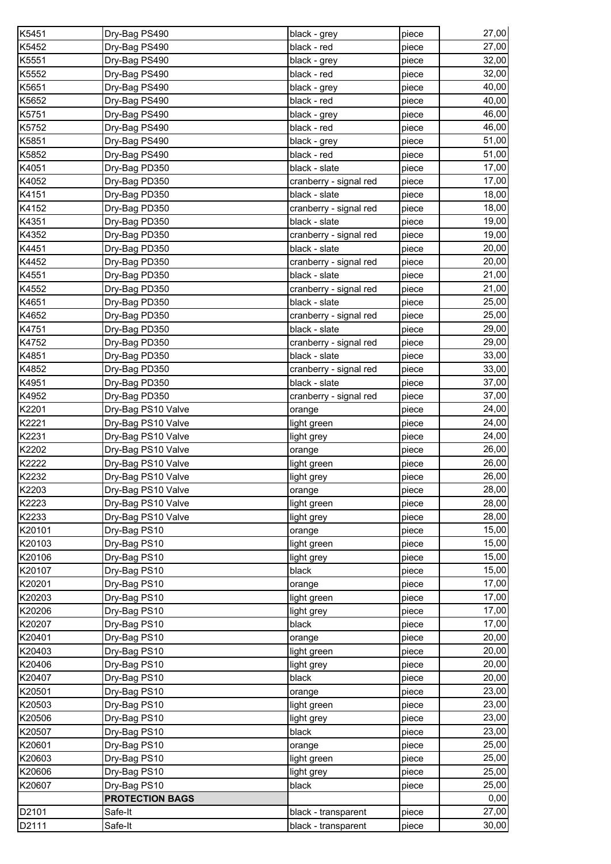| K5451  | Dry-Bag PS490          | black - grey           | piece | 27,00 |
|--------|------------------------|------------------------|-------|-------|
| K5452  | Dry-Bag PS490          | black - red            | piece | 27,00 |
| K5551  | Dry-Bag PS490          | black - grey           | piece | 32,00 |
| K5552  | Dry-Bag PS490          | black - red            | piece | 32,00 |
| K5651  | Dry-Bag PS490          | black - grey           | piece | 40,00 |
| K5652  | Dry-Bag PS490          | black - red            | piece | 40,00 |
| K5751  | Dry-Bag PS490          | black - grey           | piece | 46,00 |
| K5752  | Dry-Bag PS490          | black - red            | piece | 46,00 |
| K5851  | Dry-Bag PS490          | black - grey           | piece | 51,00 |
| K5852  | Dry-Bag PS490          | black - red            | piece | 51,00 |
| K4051  | Dry-Bag PD350          | black - slate          | piece | 17,00 |
| K4052  | Dry-Bag PD350          | cranberry - signal red | piece | 17,00 |
| K4151  | Dry-Bag PD350          | black - slate          | piece | 18,00 |
| K4152  | Dry-Bag PD350          | cranberry - signal red | piece | 18,00 |
| K4351  | Dry-Bag PD350          | black - slate          | piece | 19,00 |
| K4352  | Dry-Bag PD350          | cranberry - signal red | piece | 19,00 |
| K4451  | Dry-Bag PD350          | black - slate          | piece | 20,00 |
| K4452  | Dry-Bag PD350          | cranberry - signal red | piece | 20,00 |
| K4551  | Dry-Bag PD350          | black - slate          | piece | 21,00 |
| K4552  | Dry-Bag PD350          | cranberry - signal red | piece | 21,00 |
| K4651  | Dry-Bag PD350          | black - slate          | piece | 25,00 |
| K4652  | Dry-Bag PD350          | cranberry - signal red |       | 25,00 |
| K4751  | Dry-Bag PD350          | black - slate          | piece | 29,00 |
| K4752  |                        |                        | piece | 29,00 |
|        | Dry-Bag PD350          | cranberry - signal red | piece | 33,00 |
| K4851  | Dry-Bag PD350          | black - slate          | piece |       |
| K4852  | Dry-Bag PD350          | cranberry - signal red | piece | 33,00 |
| K4951  | Dry-Bag PD350          | black - slate          | piece | 37,00 |
| K4952  | Dry-Bag PD350          | cranberry - signal red | piece | 37,00 |
| K2201  | Dry-Bag PS10 Valve     | orange                 | piece | 24,00 |
| K2221  | Dry-Bag PS10 Valve     | light green            | piece | 24,00 |
| K2231  | Dry-Bag PS10 Valve     | light grey             | piece | 24,00 |
| K2202  | Dry-Bag PS10 Valve     | orange                 | piece | 26,00 |
| K2222  | Dry-Bag PS10 Valve     | light green            | piece | 26,00 |
| K2232  | Dry-Bag PS10 Valve     | light grey             | piece | 26,00 |
| K2203  | Dry-Bag PS10 Valve     | orange                 | piece | 28,00 |
| K2223  | Dry-Bag PS10 Valve     | light green            | piece | 28,00 |
| K2233  | Dry-Bag PS10 Valve     | light grey             | piece | 28,00 |
| K20101 | Dry-Bag PS10           | orange                 | piece | 15,00 |
| K20103 | Dry-Bag PS10           | light green            | piece | 15,00 |
| K20106 | Dry-Bag PS10           | light grey             | piece | 15,00 |
| K20107 | Dry-Bag PS10           | black                  | piece | 15,00 |
| K20201 | Dry-Bag PS10           | orange                 | piece | 17,00 |
| K20203 | Dry-Bag PS10           | light green            | piece | 17,00 |
| K20206 | Dry-Bag PS10           | light grey             | piece | 17,00 |
| K20207 | Dry-Bag PS10           | black                  | piece | 17,00 |
| K20401 | Dry-Bag PS10           | orange                 | piece | 20,00 |
| K20403 | Dry-Bag PS10           | light green            | piece | 20,00 |
| K20406 | Dry-Bag PS10           | light grey             | piece | 20,00 |
| K20407 | Dry-Bag PS10           | black                  | piece | 20,00 |
| K20501 | Dry-Bag PS10           | orange                 | piece | 23,00 |
| K20503 | Dry-Bag PS10           | light green            | piece | 23,00 |
| K20506 | Dry-Bag PS10           | light grey             | piece | 23,00 |
| K20507 | Dry-Bag PS10           | black                  | piece | 23,00 |
| K20601 | Dry-Bag PS10           | orange                 | piece | 25,00 |
| K20603 | Dry-Bag PS10           | light green            | piece | 25,00 |
| K20606 | Dry-Bag PS10           | light grey             | piece | 25,00 |
| K20607 | Dry-Bag PS10           | black                  | piece | 25,00 |
|        | <b>PROTECTION BAGS</b> |                        |       | 0,00  |
| D2101  | Safe-It                | black - transparent    | piece | 27,00 |
| D2111  | Safe-It                | black - transparent    | piece | 30,00 |